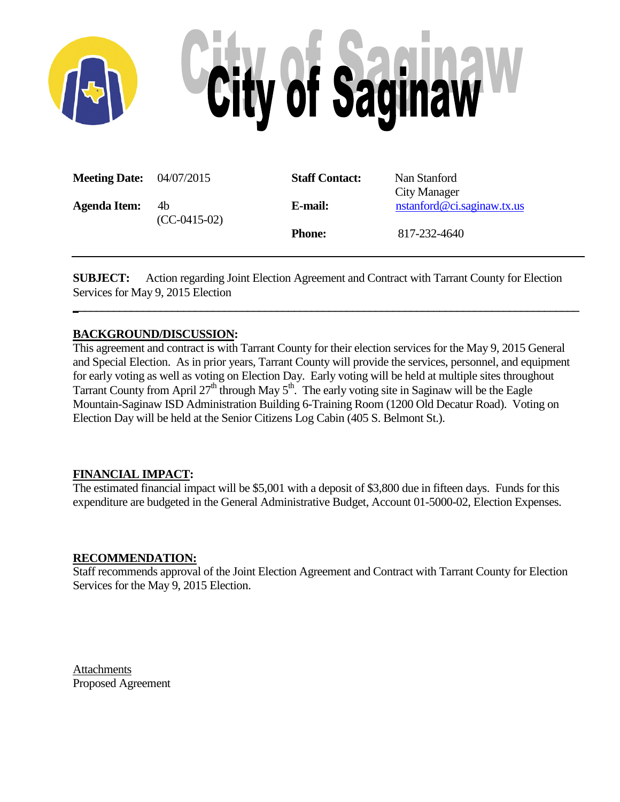

| <b>Meeting Date:</b> 04/07/2015 |                      | <b>Staff Contact:</b> | Nan Stanford<br>City Manager |
|---------------------------------|----------------------|-----------------------|------------------------------|
| <b>Agenda Item:</b>             | 4b<br>$(CC-0415-02)$ | E-mail:               | nstanford@ci.saginaw.tx.us   |
|                                 |                      | <b>Phone:</b>         | 817-232-4640                 |

**SUBJECT:** Action regarding Joint Election Agreement and Contract with Tarrant County for Election Services for May 9, 2015 Election

**\_\_\_\_\_\_\_\_\_\_\_\_\_\_\_\_\_\_\_\_\_\_\_\_\_\_\_\_\_\_\_\_\_\_\_\_\_\_\_\_\_\_\_\_\_\_\_\_\_\_\_\_\_\_\_\_\_\_\_\_\_\_\_\_\_\_\_\_\_\_\_\_\_\_\_\_\_\_\_\_\_\_\_\_\_\_\_**

### **BACKGROUND/DISCUSSION:**

This agreement and contract is with Tarrant County for their election services for the May 9, 2015 General and Special Election. As in prior years, Tarrant County will provide the services, personnel, and equipment for early voting as well as voting on Election Day. Early voting will be held at multiple sites throughout Tarrant County from April  $27<sup>th</sup>$  through May  $5<sup>th</sup>$ . The early voting site in Saginaw will be the Eagle Mountain-Saginaw ISD Administration Building 6-Training Room (1200 Old Decatur Road). Voting on Election Day will be held at the Senior Citizens Log Cabin (405 S. Belmont St.).

### **FINANCIAL IMPACT:**

The estimated financial impact will be \$5,001 with a deposit of \$3,800 due in fifteen days. Funds for this expenditure are budgeted in the General Administrative Budget, Account 01-5000-02, Election Expenses.

### **RECOMMENDATION:**

Staff recommends approval of the Joint Election Agreement and Contract with Tarrant County for Election Services for the May 9, 2015 Election.

**Attachments** Proposed Agreement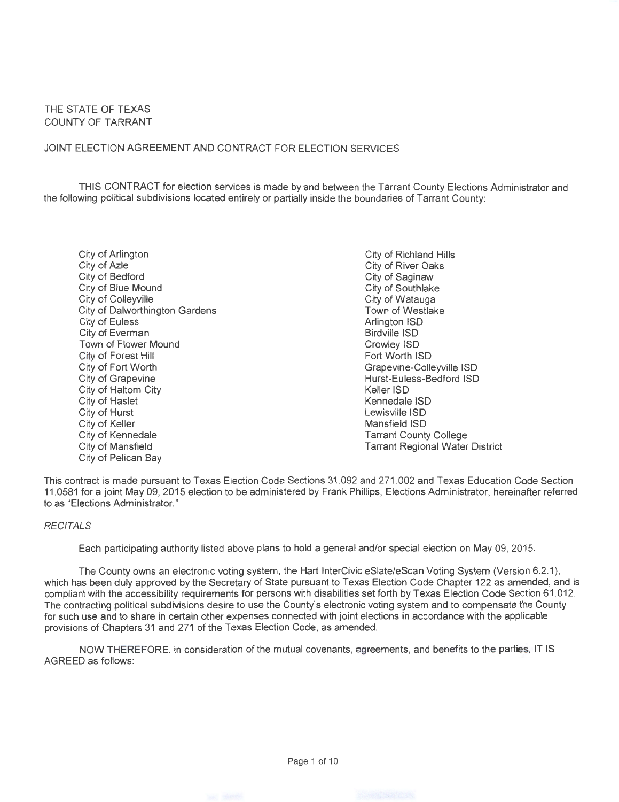#### THE STATE OF TEXAS COUNTY OF TARRANT

#### JOINT ELECTION AGREEMENT AND CONTRACT FOR ELECTION SERVICES

THIS CONTRACT for election services is made by and between the Tarrant County Elections Administrator and the following political subdivisions located entirely or partially inside the boundaries of Tarrant County:

City of Arlington City of Azle City of Bedford City of Blue Mound City of Colleyville City of Dalworthington Gardens City of Euless City of Everman Town of Flower Mound City of Forest Hill City of Fort Worth City of Grapevine City of Haltom City City of Haslet City of Hurst City of Keller City of Kennedale City of Mansfield City of Pelican Bay

City of Richland Hills City of River Oaks City of Saginaw City of Southlake City of Watauga Town of Westlake Arlington ISO Birdville ISO Crowley ISO Fort Worth lSD Grapevine-Colleyville ISO Hurst-Euless-Bedford lSD Keller lSD Kennedale lSD Lewisville ISO Mansfield lSD Tarrant County College Tarrant Regional Water District

This contract is made pursuant to Texas Election Code Sections 31 .092 and 271 .002 and Texas Education Code Section 11 .0581 for a joint May 09, 2015 election to be administered by Frank Phillips, Elections Administrator, hereinafter referred to as "Elections Administrator."

#### **RECITALS**

Each participating authority listed above plans to hold a general and/or special election on May 09, 2015.

The County owns an electronic voting system, the Hart InterCivic eSlate/eScan Voting System (Version 6.2.1), which has been duly approved by the Secretary of State pursuant to Texas Election Code Chapter 122 as amended, and is compliant with the accessibility requirements for persons with disabilities set forth by Texas Election Code Section 61 .012. The contracting political subdivisions desire to use the County's electronic voting system and to compensate the County for such use and to share in certain other expenses connected with joint elections in accordance with the applicable provisions of Chapters 31 and 271 of the Texas Election Code, as amended.

NOW THEREFORE, in consideration of the mutual covenants, agreements, and benefits to the parties, IT IS AGREED as follows: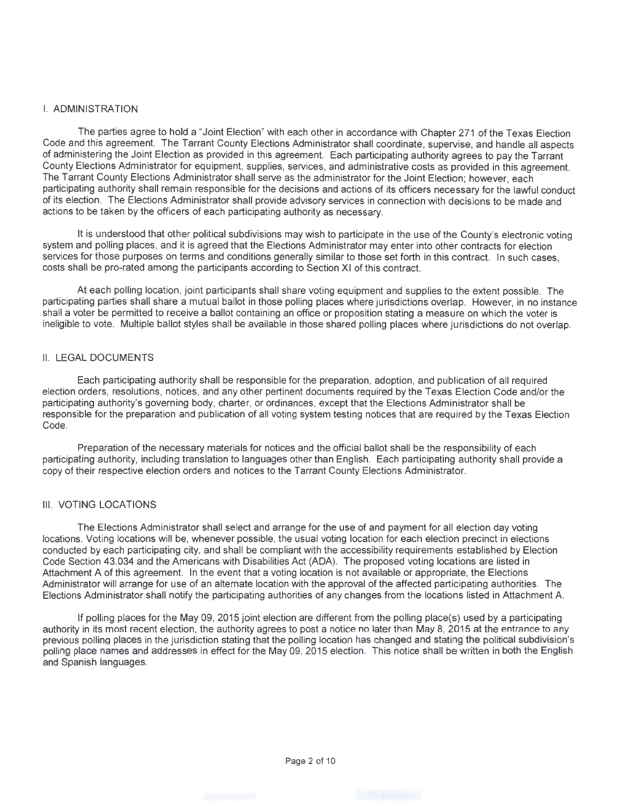#### I. ADMINISTRATION

The parties agree to hold a "Joint Election" with each other in accordance with Chapter 271 of the Texas Election Code and this agreement. The Tarrant County Elections Administrator shall coordinate, supervise, and handle all aspects of administering the Joint Election as provided in this agreement. Each participating authority agrees to pay the Tarrant County Elections Administrator for equipment, supplies, services, and administrative costs as provided in this agreement. The Tarrant County Elections Administrator shall serve as the administrator for the Joint Election; however, each participating authority shall remain responsible for the decisions and actions of its officers necessary for the lawful conduct of its election. The Elections Administrator shall provide advisory services in connection with decisions to be made and actions to be taken by the officers of each participating authority as necessary.

It is understood that other political subdivisions may wish to participate in the use of the County's electronic voting system and polling places, and it is agreed that the Elections Administrator may enter into other contracts for election services for those purposes on terms and conditions generally similar to those set forth in this contract. In such cases, costs shall be pro-rated among the participants according to Section XI of this contract.

At each polling location, joint participants shall share voting equipment and supplies to the extent possible. The participating parties shall share a mutual ballot in those polling places where jurisdictions overlap. However, in no instance shall a voter be permitted to receive a ballot containing an office or proposition stating a measure on which the voter is ineligible to vote. Multiple ballot styles shall be available in those shared polling places where jurisdictions do not overlap.

#### II. LEGAL DOCUMENTS

Each participating authority shall be responsible for the preparation, adoption, and publication of all required election orders, resolutions, notices, and any other pertinent documents required by the Texas Election Code and/or the participating authority's governing body, charter, or ordinances, except that the Elections Administrator shall be responsible for the preparation and publication of all voting system testing notices that are required by the Texas Election Code.

Preparation of the necessary materials for notices and the official ballot shall be the responsibility of each participating authority, including translation to languages other than English. Each participating authority shall provide a copy of their respective election orders and notices to the Tarrant County Elections Administrator.

#### Ill. VOTING LOCATIONS

The Elections Administrator shall select and arrange for the use of and payment for all election day voting locations. Voting locations will be, whenever possible, the usual voting location for each election precinct in elections conducted by each participating city, and shall be compliant with the accessibility requirements established by Election Code Section 43.034 and the Americans with Disabilities Act (ADA). The proposed voting locations are listed in Attachment A of this agreement. In the event that a voting location is not available or appropriate, the Elections Administrator will arrange for use of an alternate location with the approval of the affected participating authorities. The Elections Administrator shall notify the participating authorities of any changes from the locations listed in Attachment A

If polling places for the May 09, 2015 joint election are different from the polling place(s) used by a participating authority in its most recent election, the authority agrees to post a notice no later than May 8, 2015 at the entrance to any previous polling places in the jurisdiction stating that the polling location has changed and stating the political subdivision's polling place names and addresses in effect for the May 09, 2015 election. This notice shall be written in both the English and Spanish languages.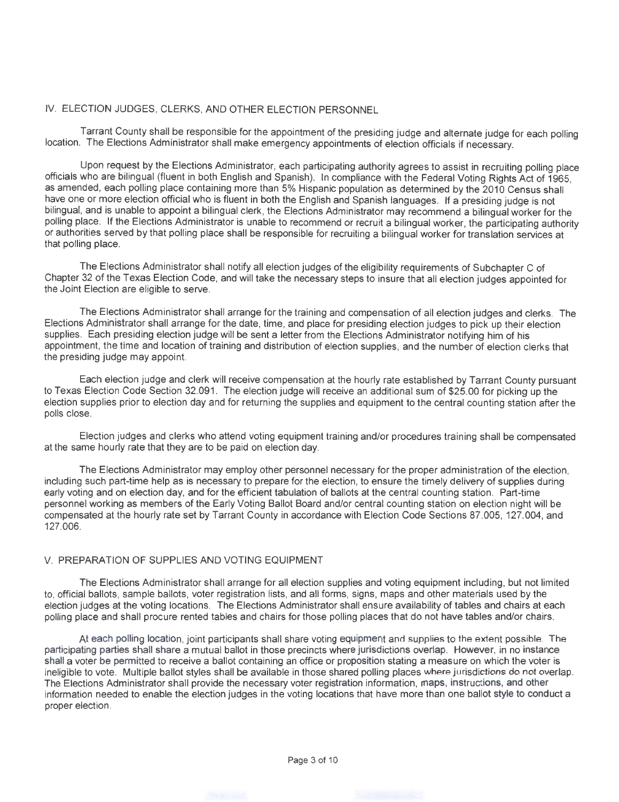### IV. ELECTION JUDGES, CLERKS, AND OTHER ELECTION PERSONNEL

Tarrant County shall be responsible for the appointment of the presiding judge and alternate judge for each polling location. The Elections Administrator shall make emergency appointments of election officials if necessary.

Upon request by the Elections Administrator, each participating authority agrees to assist in recruiting polling place officials who are bilingual (fluent in both English and Spanish). In compliance with the Federal Voting Rights Act of 1965, as amended, each polling place containing more than 5% Hispanic population as determined by the 2010 Census shall have one or more election official who is fluent in both the English and Spanish languages. If a presiding judge is not bilingual, and is unable to appoint a bilingual clerk, the Elections Administrator may recommend a bilingual worker for the polling place. If the Elections Administrator is unable to recommend or recruit a bilingual worker, the participating authority or authorities served by that polling place shall be responsible for recruiting a bilingual worker for translation services at that polling place.

The Elections Administrator shall notify all election judges of the eligibility requirements of Subchapter C of Chapter 32 of the Texas Election Code, and will take the necessary steps to insure that all election judges appointed for the Joint Election are eligible to serve.

The Elections Administrator shall arrange for the training and compensation of all election judges and clerks. The Elections Administrator shall arrange for the date, time, and place for presiding election judges to pick up their election supplies. Each presiding election judge will be sent a letter from the Elections Administrator notifying him of his appointment, the time and location of training and distribution of election supplies, and the number of election clerks that the presiding judge may appoint.

Each election judge and clerk will receive compensation at the hourly rate established by Tarrant County pursuant to Texas Election Code Section 32.091. The election judge will receive an additional sum of \$25.00 for picking up the election supplies prior to election day and for returning the supplies and equipment to the central counting station after the polls close.

Election judges and clerks who attend voting equipment training and/or procedures training shall be compensated at the same hourly rate that they are to be paid on election day.

The Elections Administrator may employ other personnel necessary for the proper administration of the election, including such part-time help as is necessary to prepare for the election, to ensure the timely delivery of supplies during early voting and on election day, and for the efficient tabulation of ballots at the central counting station. Part-time personnel working as members of the Early Voting Ballot Board and/or central counting station on election night will be compensated at the hourly rate set by Tarrant County in accordance with Election Code Sections 87.005, 127.004, and 127.006.

#### V. PREPARATION OF SUPPLIES AND VOTING EQUIPMENT

The Elections Administrator shall arrange for all election supplies and voting equipment including, but not limited to, official ballots, sample ballots, voter registration lists, and all forms, signs, maps and other materials used by the election judges at the voting locations. The Elections Administrator shall ensure availability of tables and chairs at each polling place and shall procure rented tables and chairs for those polling places that do not have tables and/or chairs.

At each polling location, joint participants shall share voting equipment and supplies to the extent possible. The participating parties shall share a mutual ballot in those precincts where jurisdictions overlap. However, in no instance shall a voter be permitted to receive a ballot containing an office or proposition stating a measure on which the voter is ineligible to vote. Multiple ballot styles shall be available in those shared polling places where jurisdictions do not overlap. The Elections Administrator shall provide the necessary voter registration information, maps, instructions, and other information needed to enable the election judges in the voting locations that have more than one ballot style to conduct a proper election.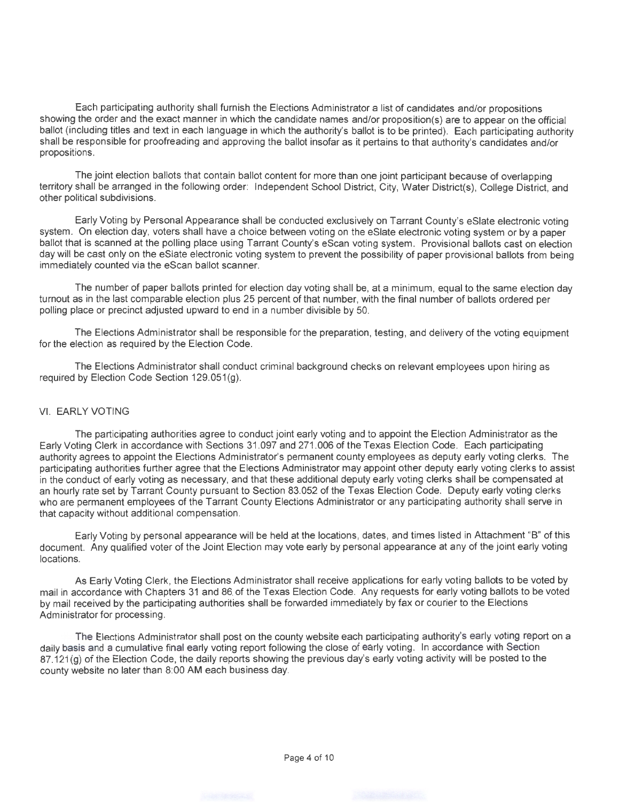Each participating authority shall furnish the Elections Administrator a list of candidates and/or propositions showing the order and the exact manner in which the candidate names and/or proposition(s) are to appear on the official ballot (including titles and text in each language in which the authority's ballot is to be printed). Each participating authority shall be responsible for proofreading and approving the ballot insofar as it pertains to that authority's candidates and/or propositions.

The joint election ballots that contain ballot content for more than one joint participant because of overlapping territory shall be arranged in the following order: Independent School District, City, Water District(s), College District, and other political subdivisions.

Early Voting by Personal Appearance shall be conducted exclusively on Tarrant County's eState electronic voting system. On election day, voters shall have a choice between voting on the eSiate electronic voting system or by a paper ballot that is scanned at the polling place using Tarrant County's eScan voting system. Provisional ballots cast on election day will be cast only on the eSiate electronic voting system to prevent the possibility of paper provisional ballots from being immediately counted via the eScan ballot scanner.

The number of paper ballots printed for election day voting shall be, at a minimum, equal to the same election day turnout as in the last comparable election plus 25 percent of that number, with the final number of ballots ordered per polling place or precinct adjusted upward to end in a number divisible by 50.

The Elections Administrator shall be responsible for the preparation, testing, and delivery of the voting equipment for the election as required by the Election Code.

The Elections Administrator shall conduct criminal background checks on relevant employees upon hiring as required by Election Code Section 129.051(g).

#### VI. EARLY VOTING

The participating authorities agree to conduct joint early voting and to appoint the Election Administrator as the Early Voting Clerk in accordance with Sections 31 .097 and 271 .006 of the Texas Election Code. Each participating authority agrees to appoint the Elections Administrator's permanent county employees as deputy early voting clerks. The participating authorities further agree that the Elections Administrator may appoint other deputy early voting clerks to assist in the conduct of early voting as necessary, and that these additional deputy early voting clerks shall be compensated at an hourly rate set by Tarrant County pursuant to Section 83.052 of the Texas Election Code. Deputy early voting clerks who are permanent employees of the Tarrant County Elections Administrator or any participating authority shall serve in that capacity without additional compensation.

Early Voting by personal appearance will be held at the locations, dates, and times listed in Attachment "B" of this document. Any qualified voter of the Joint Election may vote early by personal appearance at any of the joint early voting locations.

As Early Voting Clerk, the Elections Administrator shall receive applications for early voting ballots to be voted by mail in accordance with Chapters 31 and 86. of the Texas Election Code. Any requests for early voting ballots to be voted by mail received by the participating authorities shall be forwarded immediately by fax or courier to the Elections Administrator for processing.

The Elections Administrator shall post on the county website each participating authority's early voting report on a daily basis and a cumulative final early voting report following the close of early voting. In accordance with Section 87.121(g) of the Election Code, the daily reports showing the previous day's early voting activity will be posted to the county website no later than 8:00AM each business day.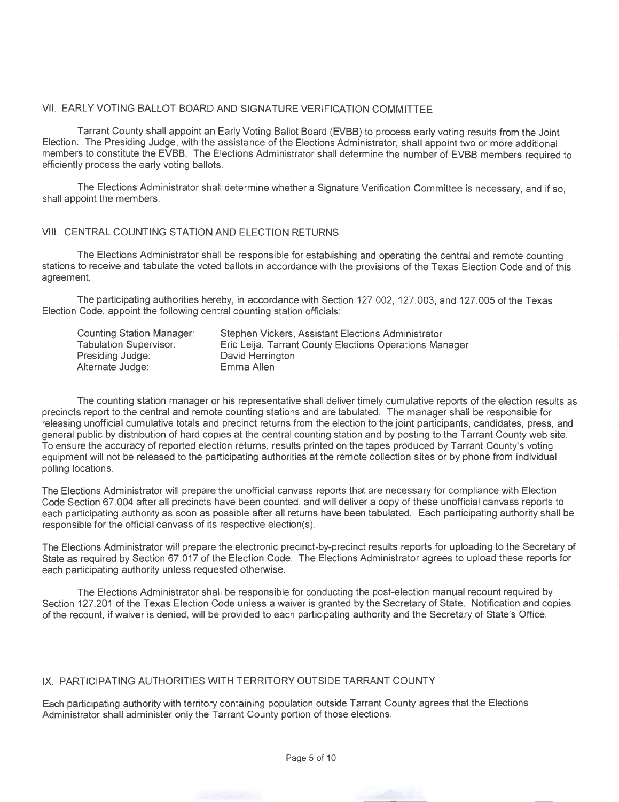#### VII. EARLY VOTING BALLOT BOARD AND SIGNATURE VERIFICATION COMMITTEE

Tarrant County shall appoint an Early Voting Ballot Board (EVBB) to process early voting results from the Joint Election. The Presiding Judge, with the assistance of the Elections Administrator, shall appoint two or more additional members to constitute the EVBB. The Elections Administrator shall determine the number of EVBB members required to efficiently process the early voting ballots.

The Elections Administrator shall determine whether a Signature Verification Committee is necessary, and if so, shall appoint the members.

#### VIII. CENTRAL COUNTING STATION AND ELECTION RETURNS

The Elections Administrator shall be responsible for establishing and operating the central and remote counting stations to receive and tabulate the voted ballots in accordance with the provisions of the Texas Election Code and of this agreement.

The participating authorities hereby, in accordance with Section 127.002, 127.003, and 127.005 of the Texas Election Code, appoint the following central counting station officials:

| Counting Station Manager:     | Stephen Vickers, Assistant Elections Administrator      |
|-------------------------------|---------------------------------------------------------|
| <b>Tabulation Supervisor:</b> | Eric Leija, Tarrant County Elections Operations Manager |
| Presiding Judge:              | David Herrington                                        |
| Alternate Judge:              | Emma Allen                                              |

The counting station manager or his representative shall deliver timely cumulative reports of the election results as precincts report to the central and remote counting stations and are tabulated. The manager shall be responsible for releasing unofficial cumulative totals and precinct returns from the election to the joint participants, candidates, press, and general public by distribution of hard copies at the central counting station and by posting to the Tarrant County web site. To ensure the accuracy of reported election returns, results printed on the tapes produced by Tarrant County's voting equipment will not be released to the participating authorities at the remote collection sites or by phone from individual polling locations.

The Elections Administrator will prepare the unofficial canvass reports that are necessary for compliance with Election Code Section 67.004 after all precincts have been counted, and will deliver a copy of these unofficial canvass reports to each participating authority as soon as possible after all returns have been tabulated. Each participating authority shall be responsible for the official canvass of its respective election(s).

The Elections Administrator will prepare the electronic precinct-by-precinct results reports for uploading to the Secretary of State as required by Section 67.017 of the Election Code. The Elections Administrator agrees to upload these reports for each participating authority unless requested otherwise.

The Elections Administrator shall be responsible for conducting the post-election manual recount required by Section 127.201 of the Texas Election Code unless a waiver is granted by the Secretary of State. Notification and copies of the recount, if waiver is denied, will be provided to each participating authority and the Secretary of State's Office.

#### IX. PARTICIPATING AUTHORITIES WITH TERRITORY OUTSIDE TARRANT COUNTY

Each participating authority with territory containing population outside Tarrant County agrees that the Elections Administrator shall administer only the Tarrant County portion of those elections.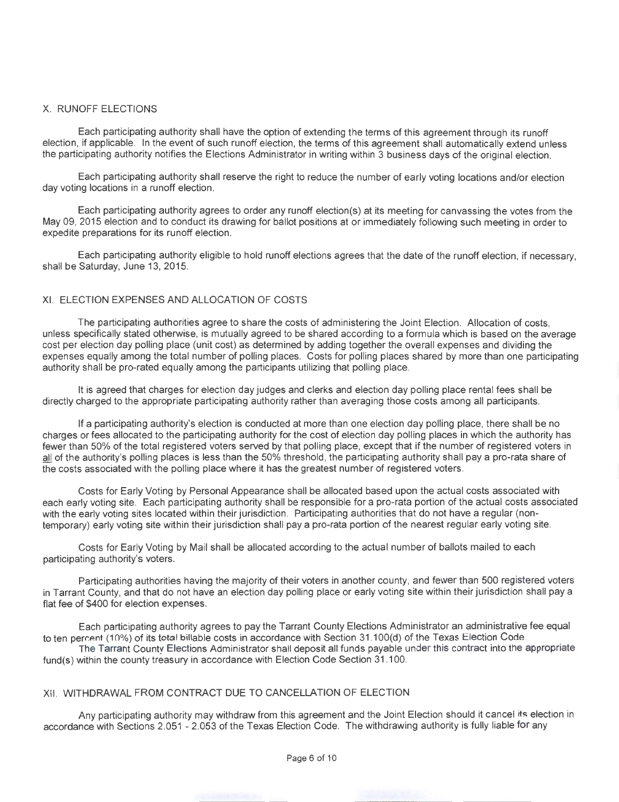#### X. RUNOFF ELECTIONS

Each participating authority shall have the option of extending the terms of this agreement through its runoff election, if applicable. In the event of such runoff election, the terms of this agreement shall automatically extend unless the participating authority notifies the Elections Administrator in writing within 3 business days of the original election.

Each participating authority shall reserve the right to reduce the number of early voting locations and/or election day voting locations in a runoff election.

Each participating authority agrees to order any runoff election(s) at its meeting for canvassing the votes from the May 09, 2015 election and to conduct its drawing for ballot positions at or immediately following such meeting in order to expedite preparations for its runoff election.

Each participating authority eligible to hold runoff elections agrees that the date of the runoff election, if necessary, shall be Saturday, June 13, 2015.

#### XI. ELECTION EXPENSES AND ALLOCATION OF COSTS

The participating authorities agree to share the costs of administering the Joint Election. Allocation of costs, unless specifically stated otherwise, is mutually agreed to be shared according to a formula which is based on the average cost per election day polling place (unit cost) as determined by adding together the overall expenses and dividing the expenses equally among the total number of polling places. Costs for polling places shared by more than one participating authority shall be pro-rated equally among the participants utilizing that polling place.

It is agreed that charges for election day judges and clerks and election day polling place rental fees shall be directly charged to the appropriate participating authority rather than averaging those costs among all participants.

If a participating authority's election is conducted at more than one election day polling place, there shall be no charges or fees allocated to the participating authority for the cost of election day polling places in which the authority has fewer than 50% of the total registered voters served by that polling place, except that if the number of registered voters in all of the authority's polling places is less than the 50% threshold, the participating authority shall pay a pro-rata share of the costs associated with the polling place where it has the greatest number of registered voters.

Costs for Early Voting by Personal Appearance shall be allocated based upon the actual costs associated with each early voting site. Each participating authority shall be responsible for a pro-rata portion of the actual costs associated with the early voting sites located within their jurisdiction. Participating authorities that do not have a regular (nontemporary) early voting site within their jurisdiction shall pay a pro-rata portion of the nearest regular early voting site.

Costs for Early Voting by Mail shall be allocated according to the actual number of ballots mailed to each participating authority's voters.

Participating authorities having the majority of their voters in another county, and fewer than 500 registered voters in Tarrant County, and that do not have an election day polling place or early voting site within their jurisdiction shall pay a flat fee of \$400 for election expenses.

Each participating authority agrees to pay the Tarrant County Elections Administrator an administrative fee equal to ten percent (10%) of its total billable costs in accordance with Section 31.100(d) of the Texas Election Code.

The Tarrant County Elections Administrator shall deposit all funds payable under this contract into the appropriate fund(s) within the county treasury in accordance with Election Code Section 31.100.

#### XII. WITHDRAWAL FROM CONTRACT DUE TO CANCELLATION OF ELECTION

Any participating authority may withdraw from this agreement and the Joint Election should it cancel its election in accordance with Sections 2.051 -2.053 of the Texas Election Code. The withdrawing authority is fully liable for any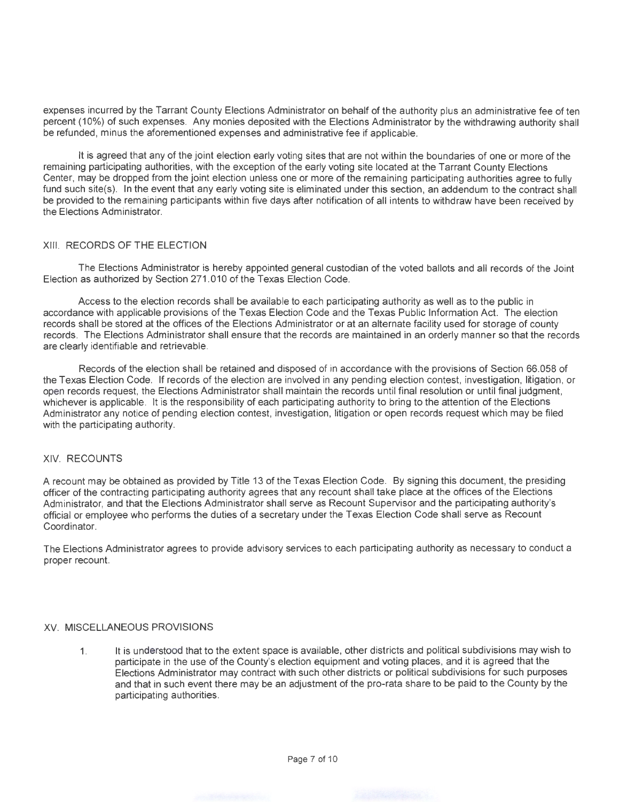expenses incurred by the Tarrant County Elections Administrator on behalf of the authority plus an administrative fee of ten percent (10%) of such expenses. Any monies deposited with the Elections Administrator by the withdrawing authority shall be refunded, minus the aforementioned expenses and administrative fee if applicable.

It is agreed that any of the joint election early voting sites that are not within the boundaries of one or more of the remaining participating authorities, with the exception of the early voting site located at the Tarrant County Elections Center, may be dropped from the joint election unless one or more of the remaining participating authorities agree to fully fund such site(s). In the event that any early voting site is eliminated under this section, an addendum to the contract shall be provided to the remaining participants within five days after notification of all intents to withdraw have been received by the Elections Administrator.

#### XIII. RECORDS OF THE ELECTION

The Elections Administrator is hereby appointed general custodian of the voted ballots and all records of the Joint Election as authorized by Section 271.010 of the Texas Election Code.

Access to the election records shall be available to each participating authority as well as to the public in accordance with applicable provisions of the Texas Election Code and the Texas Public Information Act. The election records shall be stored at the offices of the Elections Administrator or at an alternate facility used for storage of county records. The Elections Administrator shall ensure that the records are maintained in an orderly manner so that the records are clearly identifiable and retrievable.

Records of the election shall be retained and disposed of in accordance with the provisions of Section 66.058 of the Texas Election Code. If records of the election are involved in any pending election contest, investigation, litigation, or open records request, the Elections Administrator shall maintain the records until final resolution or until final judgment, whichever is applicable. It is the responsibility of each participating authority to bring to the attention of the Elections Administrator any notice of pending election contest, investigation, litigation or open records request which may be filed with the participating authority.

#### XIV. RECOUNTS

A recount may be obtained as provided by Title 13 of the Texas Election Code. By signing this document, the presiding officer of the contracting participating authority agrees that any recount shall take place at the offices of the Elections Administrator, and that the Elections Administrator shall serve as Recount Supervisor and the participating authority's official or employee who performs the duties of a secretary under the Texas Election Code shall serve as Recount Coordinator.

The Elections Administrator agrees to provide advisory services to each participating authority as necessary to conduct a proper recount.

#### XV. MISCELLANEOUS PROVISIONS

1. It is understood that to the extent space is available, other districts and political subdivisions may wish to participate in the use of the County's election equipment and voting places, and it is agreed that the Elections Administrator may contract with such other districts or political subdivisions for such purposes and that in such event there may be an adjustment of the pro-rata share to be paid to the County by the participating authorities.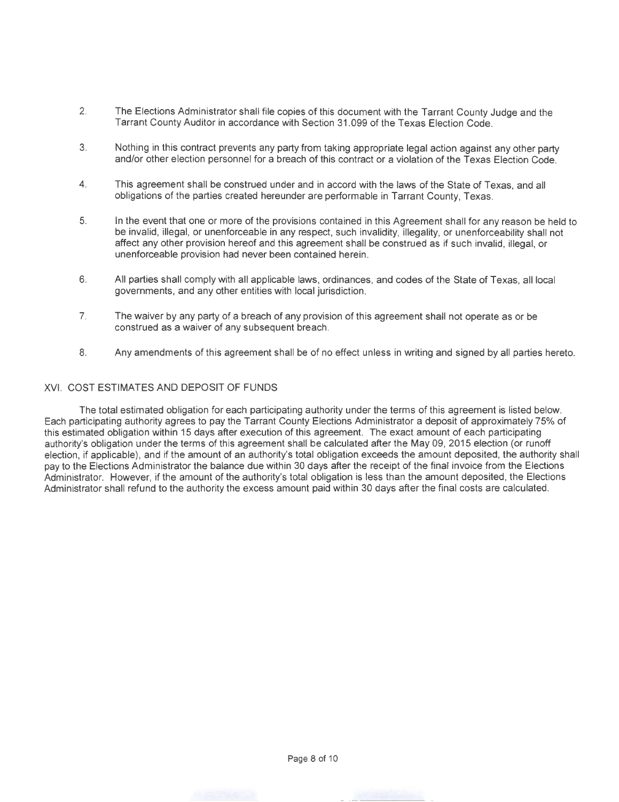- 2. The Elections Administrator shall file copies of this document with the Tarrant County Judge and the Tarrant County Auditor in accordance with Section 31 .099 of the Texas Election Code.
- 3. Nothing in this contract prevents any party from taking appropriate legal action against any other party and/or other election personnel for a breach of this contract or a violation of the Texas Election Code.
- 4. This agreement shall be construed under and in accord with the laws of the State of Texas, and all obligations of the parties created hereunder are performable in Tarrant County, Texas.
- 5. In the event that one or more of the provisions contained in this Agreement shall for any reason be held to be invalid, illegal, or unenforceable in any respect, such invalidity, illegality, or unenforceability shall not affect any other provision hereof and this agreement shall be construed as if such invalid, illegal, or unenforceable provision had never been contained herein.
- 6. All parties shall comply with all applicable laws, ordinances, and codes of the State of Texas, all local governments, and any other entities with local jurisdiction.
- 7. The waiver by any party of a breach of any provision of this agreement shall not operate as or be construed as a waiver of any subsequent breach.
- 8. Any amendments of this agreement shall be of no effect unless in writing and signed by all parties hereto.

#### XVI. COST ESTIMATES AND DEPOSIT OF FUNDS

The total estimated obligation for each participating authority under the terms of this agreement is listed below. Each participating authority agrees to pay the Tarrant County Elections Administrator a deposit of approximately 75% of this estimated obligation within 15 days after execution of this agreement. The exact amount of each participating authority's obligation under the terms of this agreement shall be calculated after the May 09, 2015 election (or runoff election, if applicable), and if the amount of an authority's total obligation exceeds the amount deposited, the authority shall pay to the Elections Administrator the balance due within 30 days after the receipt of the final invoice from the Elections Administrator. However, if the amount of the authority's total obligation is less than the amount deposited, the Elections Administrator shall refund to the authority the excess amount paid within 30 days after the final costs are calculated.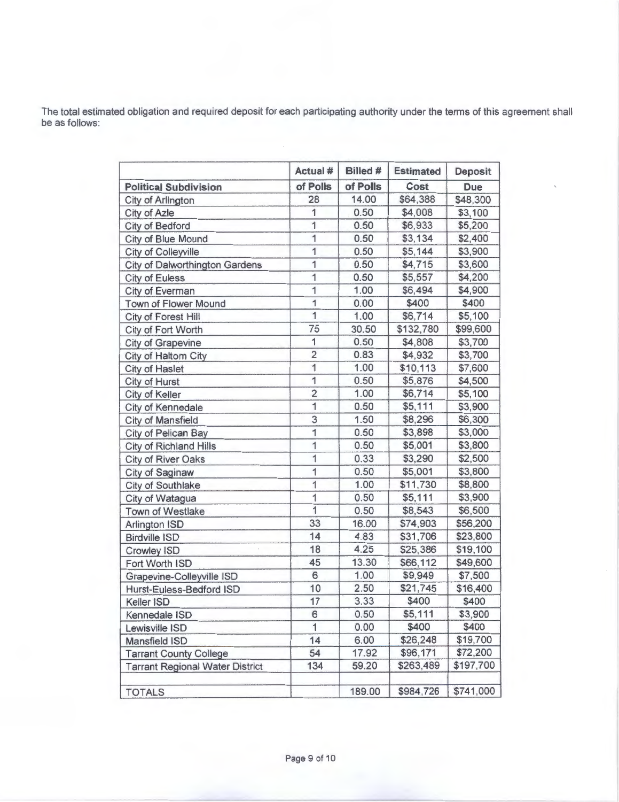The total estimated obligation and required deposit for each participating authority under the terms of this agreement shall be as follows:

|                                        | Actual #                | Billed # | <b>Estimated</b> | <b>Deposit</b> |
|----------------------------------------|-------------------------|----------|------------------|----------------|
| <b>Political Subdivision</b>           | of Polls                | of Polls | Cost             | <b>Due</b>     |
| City of Arlington                      | 28                      | 14.00    | \$64,388         | \$48,300       |
| City of Azle                           | 1                       | 0.50     | \$4,008          | \$3,100        |
| City of Bedford                        | $\overline{1}$          | 0.50     | \$6,933          | \$5,200        |
| City of Blue Mound                     | 1                       | 0.50     | \$3,134          | \$2,400        |
| City of Colleyville                    | $\overline{1}$          | 0.50     | \$5,144          | \$3,900        |
| <b>City of Dalworthington Gardens</b>  | $\overline{\mathbf{1}}$ | 0.50     | \$4,715          | \$3,600        |
| <b>City of Euless</b>                  | 1                       | 0.50     | \$5,557          | \$4,200        |
| City of Everman                        | $\overline{1}$          | 1.00     | \$6,494          | \$4,900        |
| Town of Flower Mound                   | $\overline{1}$          | 0.00     | \$400            | \$400          |
| City of Forest Hill                    | $\overline{1}$          | 1.00     | \$6,714          | \$5,100        |
| City of Fort Worth                     | 75                      | 30.50    | \$132,780        | \$99,600       |
| City of Grapevine                      | 1                       | 0.50     | \$4,808          | \$3,700        |
| City of Haltom City                    | $\overline{2}$          | 0.83     | \$4,932          | \$3,700        |
| City of Haslet                         | 1                       | 1.00     | \$10,113         | \$7,600        |
| City of Hurst                          | 1                       | 0.50     | \$5,876          | \$4,500        |
| City of Keller                         | $\overline{2}$          | 1.00     | \$6,714          | \$5,100        |
| City of Kennedale                      | $\overline{1}$          | 0.50     | \$5,111          | \$3,900        |
| <b>City of Mansfield</b>               | 3                       | 1.50     | \$8,296          | \$6,300        |
| City of Pelican Bay                    | 1                       | 0.50     | \$3,898          | \$3,000        |
| <b>City of Richland Hills</b>          | $\overline{1}$          | 0.50     | \$5,001          | \$3,800        |
| City of River Oaks                     | 1                       | 0.33     | \$3,290          | \$2,500        |
| City of Saginaw                        | 1                       | 0.50     | \$5,001          | \$3,800        |
| City of Southlake                      | 1                       | 1.00     | \$11,730         | \$8,800        |
| City of Watagua                        | $\overline{1}$          | 0.50     | \$5,111          | \$3,900        |
| Town of Westlake                       | 1                       | 0.50     | \$8,543          | \$6,500        |
| Arlington ISD                          | 33                      | 16.00    | \$74,903         | \$56,200       |
| <b>Birdville ISD</b>                   | 14                      | 4.83     | \$31,706         | \$23,800       |
| Crowley ISD                            | 18                      | 4.25     | \$25,386         | \$19,100       |
| Fort Worth ISD                         | 45                      | 13.30    | \$66,112         | \$49,600       |
| Grapevine-Colleyville ISD              | 6                       | 1.00     | \$9,949          | \$7,500        |
| Hurst-Euless-Bedford ISD               | 10                      | 2.50     | \$21,745         | \$16,400       |
| Keller ISD                             | 17                      | 3.33     | \$400            | \$400          |
| Kennedale ISD                          | 6                       | 0.50     | \$5,111          | \$3,900        |
| Lewisville ISD                         | 1                       | 0.00     | \$400            | \$400          |
| <b>Mansfield ISD</b>                   | 14                      | 6.00     | \$26,248         | \$19,700       |
| <b>Tarrant County College</b>          | 54                      | 17.92    | \$96,171         | \$72,200       |
| <b>Tarrant Regional Water District</b> | 134                     | 59.20    | \$263,489        | \$197,700      |
| <b>TOTALS</b>                          |                         | 189.00   | \$984,726        | \$741,000      |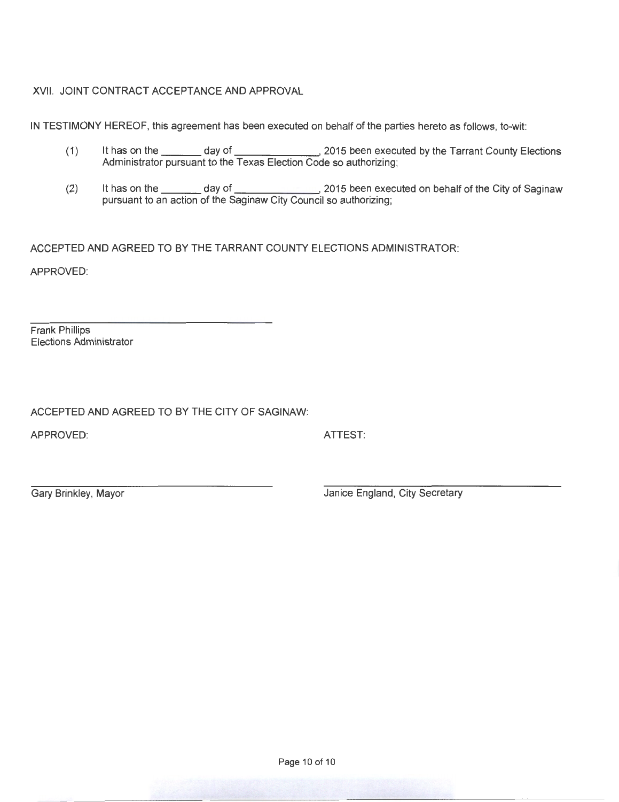XVII. JOINT CONTRACT ACCEPTANCE AND APPROVAL

IN TESTIMONY HEREOF, this agreement has been executed on behalf of the parties hereto as follows, to-wit:

- (1) It has on the day of day of the Research 2015 been executed by the Tarrant County Elections Administrator pursuant to the Texas Election Code so authorizing;
- (2) It has on the \_\_\_\_\_\_\_ day of \_\_\_\_\_\_\_\_\_\_\_\_\_\_, 2015 been executed on behalf of the City of Saginaw pursuant to an action of the Saginaw City Council so authorizing;

ACCEPTED AND AGREED TO BY THE TARRANT COUNTY ELECTIONS ADMINISTRATOR:

APPROVED:

Frank Phillips Elections Administrator

ACCEPTED AND AGREED TO BY THE CITY OF SAGINAW:

APPROVED: ATTEST:

Gary Brinkley, Mayor **Gary Brinkley, Mayor** Janice England, City Secretary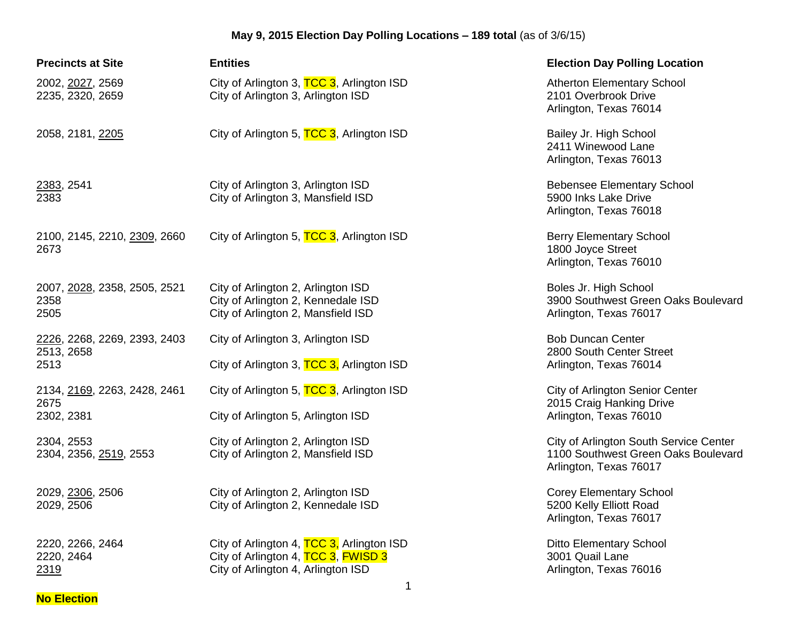| <b>Precincts at Site</b>                           | <b>Entities</b>                                                                                                        | <b>Election Day Polling Location</b>                                                                    |
|----------------------------------------------------|------------------------------------------------------------------------------------------------------------------------|---------------------------------------------------------------------------------------------------------|
| 2002, 2027, 2569<br>2235, 2320, 2659               | City of Arlington 3, TCC 3, Arlington ISD<br>City of Arlington 3, Arlington ISD                                        | <b>Atherton Elementary School</b><br>2101 Overbrook Drive<br>Arlington, Texas 76014                     |
| 2058, 2181, 2205                                   | City of Arlington 5, TCC 3, Arlington ISD                                                                              | Bailey Jr. High School<br>2411 Winewood Lane<br>Arlington, Texas 76013                                  |
| 2383, 2541<br>2383                                 | City of Arlington 3, Arlington ISD<br>City of Arlington 3, Mansfield ISD                                               | <b>Bebensee Elementary School</b><br>5900 Inks Lake Drive<br>Arlington, Texas 76018                     |
| 2100, 2145, 2210, 2309, 2660<br>2673               | City of Arlington 5, TCC 3, Arlington ISD                                                                              | <b>Berry Elementary School</b><br>1800 Joyce Street<br>Arlington, Texas 76010                           |
| 2007, 2028, 2358, 2505, 2521<br>2358<br>2505       | City of Arlington 2, Arlington ISD<br>City of Arlington 2, Kennedale ISD<br>City of Arlington 2, Mansfield ISD         | Boles Jr. High School<br>3900 Southwest Green Oaks Boulevard<br>Arlington, Texas 76017                  |
| 2226, 2268, 2269, 2393, 2403<br>2513, 2658<br>2513 | City of Arlington 3, Arlington ISD<br>City of Arlington 3, TCC 3, Arlington ISD                                        | <b>Bob Duncan Center</b><br>2800 South Center Street<br>Arlington, Texas 76014                          |
| 2134, 2169, 2263, 2428, 2461<br>2675<br>2302, 2381 | City of Arlington 5, TCC 3, Arlington ISD<br>City of Arlington 5, Arlington ISD                                        | <b>City of Arlington Senior Center</b><br>2015 Craig Hanking Drive<br>Arlington, Texas 76010            |
| 2304, 2553<br>2304, 2356, 2519, 2553               | City of Arlington 2, Arlington ISD<br>City of Arlington 2, Mansfield ISD                                               | City of Arlington South Service Center<br>1100 Southwest Green Oaks Boulevard<br>Arlington, Texas 76017 |
| 2029, 2306, 2506<br>2029, 2506                     | City of Arlington 2, Arlington ISD<br>City of Arlington 2, Kennedale ISD                                               | <b>Corey Elementary School</b><br>5200 Kelly Elliott Road<br>Arlington, Texas 76017                     |
| 2220, 2266, 2464<br>2220, 2464<br>2319             | City of Arlington 4, TCC 3, Arlington ISD<br>City of Arlington 4, TCC 3, FWISD 3<br>City of Arlington 4, Arlington ISD | <b>Ditto Elementary School</b><br>3001 Quail Lane<br>Arlington, Texas 76016                             |

**No Election**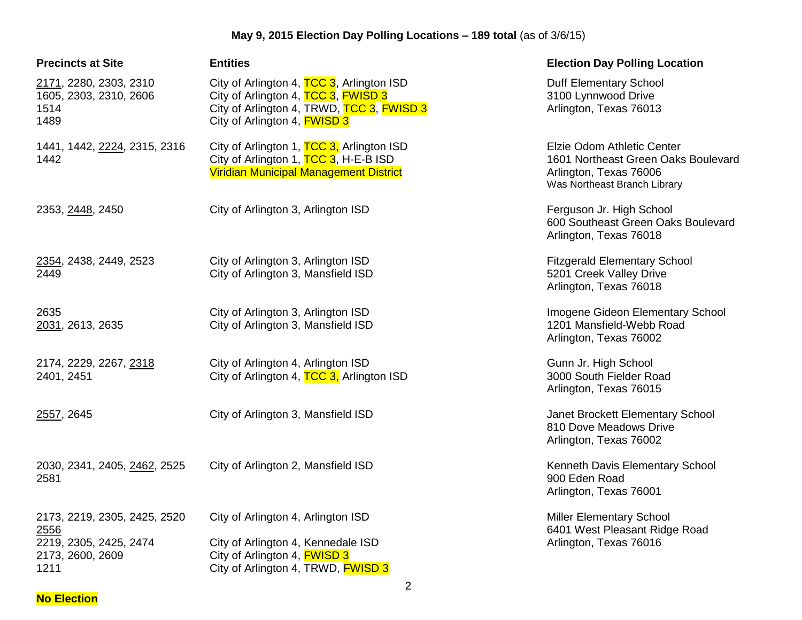| <b>Precincts at Site</b>                                                                   | <b>Entities</b>                                                                                                                                                      | <b>Election Day Polling Location</b>                                                                                        |
|--------------------------------------------------------------------------------------------|----------------------------------------------------------------------------------------------------------------------------------------------------------------------|-----------------------------------------------------------------------------------------------------------------------------|
| 2171, 2280, 2303, 2310<br>1605, 2303, 2310, 2606<br>1514<br>1489                           | City of Arlington 4, TCC 3, Arlington ISD<br>City of Arlington 4, TCC 3, FWISD 3<br>City of Arlington 4, TRWD, TCC 3, FWISD 3<br>City of Arlington 4, <b>FWISD 3</b> | Duff Elementary School<br>3100 Lynnwood Drive<br>Arlington, Texas 76013                                                     |
| 1441, 1442, 2224, 2315, 2316<br>1442                                                       | City of Arlington 1, TCC 3, Arlington ISD<br>City of Arlington 1, TCC 3, H-E-B ISD<br>Viridian Municipal Management District                                         | Elzie Odom Athletic Center<br>1601 Northeast Green Oaks Boulevard<br>Arlington, Texas 76006<br>Was Northeast Branch Library |
| 2353, 2448, 2450                                                                           | City of Arlington 3, Arlington ISD                                                                                                                                   | Ferguson Jr. High School<br>600 Southeast Green Oaks Boulevard<br>Arlington, Texas 76018                                    |
| 2354, 2438, 2449, 2523<br>2449                                                             | City of Arlington 3, Arlington ISD<br>City of Arlington 3, Mansfield ISD                                                                                             | <b>Fitzgerald Elementary School</b><br>5201 Creek Valley Drive<br>Arlington, Texas 76018                                    |
| 2635<br>2031, 2613, 2635                                                                   | City of Arlington 3, Arlington ISD<br>City of Arlington 3, Mansfield ISD                                                                                             | Imogene Gideon Elementary School<br>1201 Mansfield-Webb Road<br>Arlington, Texas 76002                                      |
| 2174, 2229, 2267, 2318<br>2401, 2451                                                       | City of Arlington 4, Arlington ISD<br>City of Arlington 4, TCC 3, Arlington ISD                                                                                      | Gunn Jr. High School<br>3000 South Fielder Road<br>Arlington, Texas 76015                                                   |
| 2557, 2645                                                                                 | City of Arlington 3, Mansfield ISD                                                                                                                                   | Janet Brockett Elementary School<br>810 Dove Meadows Drive<br>Arlington, Texas 76002                                        |
| 2030, 2341, 2405, 2462, 2525<br>2581                                                       | City of Arlington 2, Mansfield ISD                                                                                                                                   | Kenneth Davis Elementary School<br>900 Eden Road<br>Arlington, Texas 76001                                                  |
| 2173, 2219, 2305, 2425, 2520<br>2556<br>2219, 2305, 2425, 2474<br>2173, 2600, 2609<br>1211 | City of Arlington 4, Arlington ISD<br>City of Arlington 4, Kennedale ISD<br>City of Arlington 4, <b>FWISD 3</b><br>City of Arlington 4, TRWD, FWISD 3                | <b>Miller Elementary School</b><br>6401 West Pleasant Ridge Road<br>Arlington, Texas 76016                                  |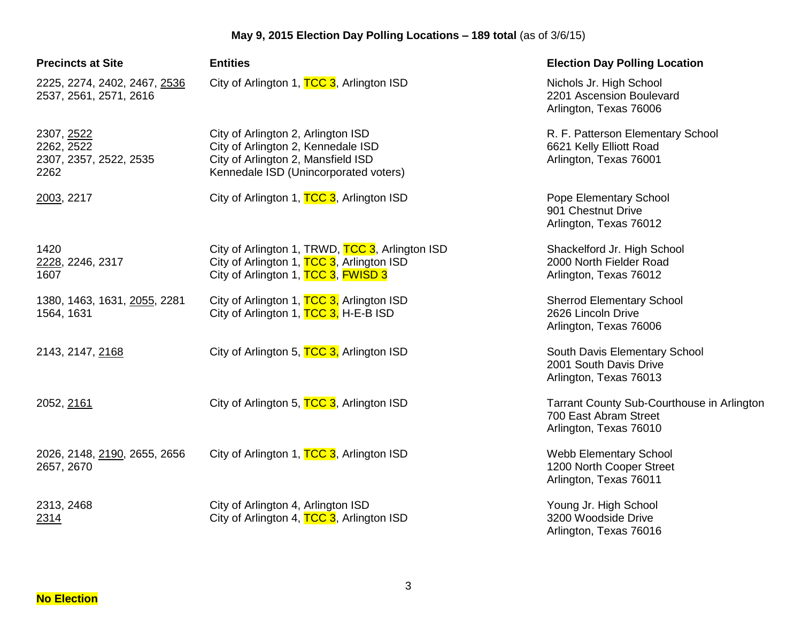| <b>Precincts at Site</b>                                   | <b>Entities</b>                                                                                                                                         | <b>Election Day Polling Location</b>                                                          |
|------------------------------------------------------------|---------------------------------------------------------------------------------------------------------------------------------------------------------|-----------------------------------------------------------------------------------------------|
| 2225, 2274, 2402, 2467, 2536<br>2537, 2561, 2571, 2616     | City of Arlington 1, TCC 3, Arlington ISD                                                                                                               | Nichols Jr. High School<br>2201 Ascension Boulevard<br>Arlington, Texas 76006                 |
| 2307, 2522<br>2262, 2522<br>2307, 2357, 2522, 2535<br>2262 | City of Arlington 2, Arlington ISD<br>City of Arlington 2, Kennedale ISD<br>City of Arlington 2, Mansfield ISD<br>Kennedale ISD (Unincorporated voters) | R. F. Patterson Elementary School<br>6621 Kelly Elliott Road<br>Arlington, Texas 76001        |
| 2003, 2217                                                 | City of Arlington 1, TCC 3, Arlington ISD                                                                                                               | Pope Elementary School<br>901 Chestnut Drive<br>Arlington, Texas 76012                        |
| 1420<br>2228, 2246, 2317<br>1607                           | City of Arlington 1, TRWD, TCC 3, Arlington ISD<br>City of Arlington 1, TCC 3, Arlington ISD<br>City of Arlington 1, TCC 3, FWISD 3                     | Shackelford Jr. High School<br>2000 North Fielder Road<br>Arlington, Texas 76012              |
| 1380, 1463, 1631, 2055, 2281<br>1564, 1631                 | City of Arlington 1, TCC 3, Arlington ISD<br>City of Arlington 1, TCC 3, H-E-B ISD                                                                      | <b>Sherrod Elementary School</b><br>2626 Lincoln Drive<br>Arlington, Texas 76006              |
| 2143, 2147, 2168                                           | City of Arlington 5, TCC 3, Arlington ISD                                                                                                               | South Davis Elementary School<br>2001 South Davis Drive<br>Arlington, Texas 76013             |
| 2052, 2161                                                 | City of Arlington 5, TCC 3, Arlington ISD                                                                                                               | Tarrant County Sub-Courthouse in Arlington<br>700 East Abram Street<br>Arlington, Texas 76010 |
| 2026, 2148, 2190, 2655, 2656<br>2657, 2670                 | City of Arlington 1, TCC 3, Arlington ISD                                                                                                               | Webb Elementary School<br>1200 North Cooper Street<br>Arlington, Texas 76011                  |
| 2313, 2468<br>2314                                         | City of Arlington 4, Arlington ISD<br>City of Arlington 4, TCC 3, Arlington ISD                                                                         | Young Jr. High School<br>3200 Woodside Drive<br>Arlington, Texas 76016                        |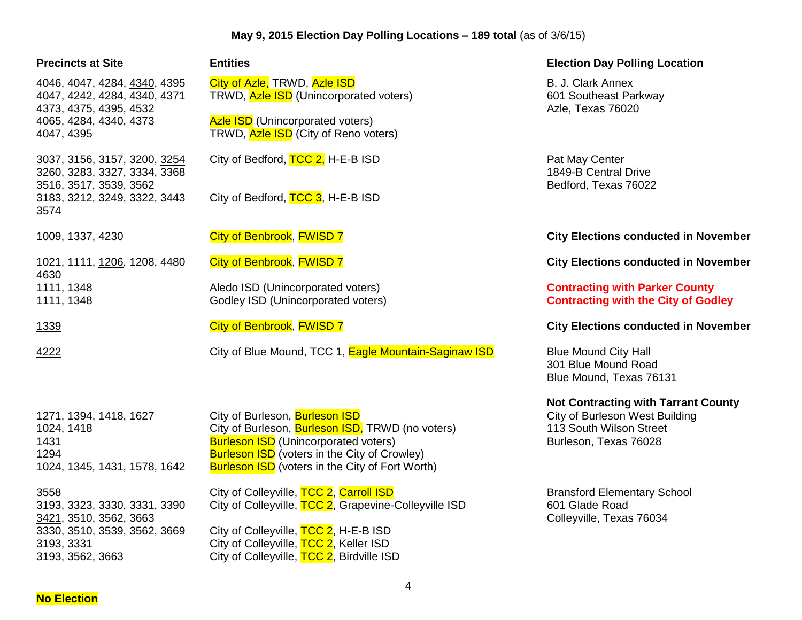| <b>Precincts at Site</b>                                                                       | <b>Entities</b>                                                                                                                                                                                                                                            | <b>Election Day Polling Location</b>                                                                                             |
|------------------------------------------------------------------------------------------------|------------------------------------------------------------------------------------------------------------------------------------------------------------------------------------------------------------------------------------------------------------|----------------------------------------------------------------------------------------------------------------------------------|
| 4046, 4047, 4284, 4340, 4395<br>4047, 4242, 4284, 4340, 4371<br>4373, 4375, 4395, 4532         | City of Azle, TRWD, Azle ISD<br>TRWD, Azle ISD (Unincorporated voters)                                                                                                                                                                                     | B. J. Clark Annex<br>601 Southeast Parkway<br>Azle, Texas 76020                                                                  |
| 4065, 4284, 4340, 4373<br>4047, 4395                                                           | <b>Azle ISD</b> (Unincorporated voters)<br>TRWD, Azle ISD (City of Reno voters)                                                                                                                                                                            |                                                                                                                                  |
| 3037, 3156, 3157, 3200, 3254<br>3260, 3283, 3327, 3334, 3368<br>3516, 3517, 3539, 3562         | City of Bedford, TCC 2, H-E-B ISD                                                                                                                                                                                                                          | Pat May Center<br>1849-B Central Drive<br>Bedford, Texas 76022                                                                   |
| 3183, 3212, 3249, 3322, 3443<br>3574                                                           | City of Bedford, TCC 3, H-E-B ISD                                                                                                                                                                                                                          |                                                                                                                                  |
| 1009, 1337, 4230                                                                               | City of Benbrook, FWISD 7                                                                                                                                                                                                                                  | <b>City Elections conducted in November</b>                                                                                      |
| 1021, 1111, 1206, 1208, 4480<br>4630                                                           | City of Benbrook, FWISD 7                                                                                                                                                                                                                                  | <b>City Elections conducted in November</b>                                                                                      |
| 1111, 1348<br>1111, 1348                                                                       | Aledo ISD (Unincorporated voters)<br>Godley ISD (Unincorporated voters)                                                                                                                                                                                    | <b>Contracting with Parker County</b><br><b>Contracting with the City of Godley</b>                                              |
| 1339                                                                                           | City of Benbrook, FWISD 7                                                                                                                                                                                                                                  | <b>City Elections conducted in November</b>                                                                                      |
| 4222                                                                                           | City of Blue Mound, TCC 1, Eagle Mountain-Saginaw ISD                                                                                                                                                                                                      | <b>Blue Mound City Hall</b><br>301 Blue Mound Road<br>Blue Mound, Texas 76131                                                    |
| 1271, 1394, 1418, 1627<br>1024, 1418<br>1431<br>1294<br>1024, 1345, 1431, 1578, 1642           | City of Burleson, Burleson ISD<br>City of Burleson, <b>Burleson ISD</b> , TRWD (no voters)<br><b>Burleson ISD</b> (Unincorporated voters)<br><b>Burleson ISD</b> (voters in the City of Crowley)<br><b>Burleson ISD</b> (voters in the City of Fort Worth) | <b>Not Contracting with Tarrant County</b><br>City of Burleson West Building<br>113 South Wilson Street<br>Burleson, Texas 76028 |
| 3558<br>3193, 3323, 3330, 3331, 3390<br>3421, 3510, 3562, 3663<br>3330, 3510, 3539, 3562, 3669 | City of Colleyville, TCC 2, Carroll ISD<br>City of Colleyville, TCC 2, Grapevine-Colleyville ISD<br>City of Colleyville, TCC 2, H-E-B ISD                                                                                                                  | <b>Bransford Elementary School</b><br>601 Glade Road<br>Colleyville, Texas 76034                                                 |
| 3193, 3331<br>3193, 3562, 3663                                                                 | City of Colleyville, TCC 2, Keller ISD<br>City of Colleyville, TCC 2, Birdville ISD                                                                                                                                                                        |                                                                                                                                  |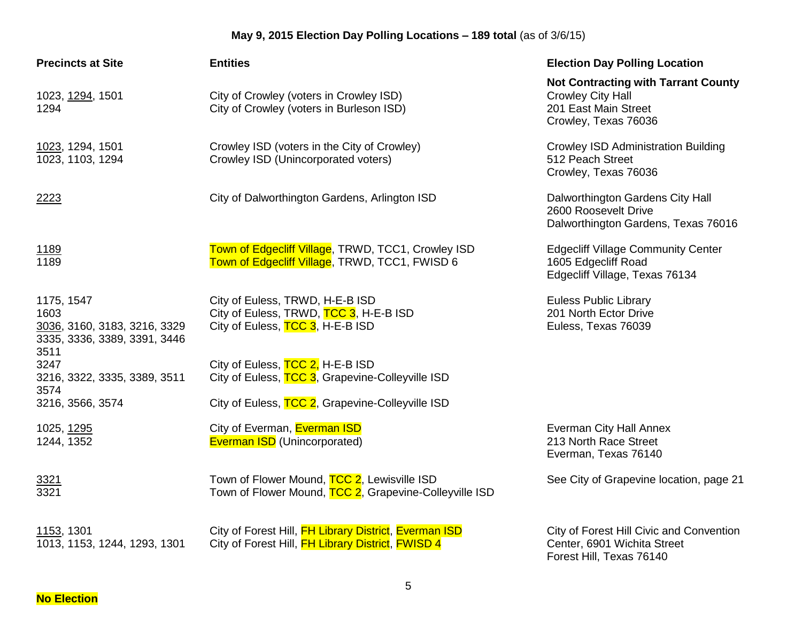| <b>Precincts at Site</b>                                                                   | <b>Entities</b>                                                                                                           | <b>Election Day Polling Location</b>                                                                                   |
|--------------------------------------------------------------------------------------------|---------------------------------------------------------------------------------------------------------------------------|------------------------------------------------------------------------------------------------------------------------|
| 1023, 1294, 1501<br>1294                                                                   | City of Crowley (voters in Crowley ISD)<br>City of Crowley (voters in Burleson ISD)                                       | <b>Not Contracting with Tarrant County</b><br><b>Crowley City Hall</b><br>201 East Main Street<br>Crowley, Texas 76036 |
| 1023, 1294, 1501<br>1023, 1103, 1294                                                       | Crowley ISD (voters in the City of Crowley)<br>Crowley ISD (Unincorporated voters)                                        | <b>Crowley ISD Administration Building</b><br>512 Peach Street<br>Crowley, Texas 76036                                 |
| 2223                                                                                       | City of Dalworthington Gardens, Arlington ISD                                                                             | Dalworthington Gardens City Hall<br>2600 Roosevelt Drive<br>Dalworthington Gardens, Texas 76016                        |
| <u>1189</u><br>1189                                                                        | Town of Edgecliff Village, TRWD, TCC1, Crowley ISD<br>Town of Edgecliff Village, TRWD, TCC1, FWISD 6                      | <b>Edgecliff Village Community Center</b><br>1605 Edgecliff Road<br>Edgecliff Village, Texas 76134                     |
| 1175, 1547<br>1603<br>3036, 3160, 3183, 3216, 3329<br>3335, 3336, 3389, 3391, 3446<br>3511 | City of Euless, TRWD, H-E-B ISD<br>City of Euless, TRWD, TCC 3, H-E-B ISD<br>City of Euless, TCC 3, H-E-B ISD             | <b>Euless Public Library</b><br>201 North Ector Drive<br>Euless, Texas 76039                                           |
| 3247<br>3216, 3322, 3335, 3389, 3511                                                       | City of Euless, TCC 2, H-E-B ISD<br>City of Euless, TCC 3, Grapevine-Colleyville ISD                                      |                                                                                                                        |
| 3574<br>3216, 3566, 3574                                                                   | City of Euless, TCC 2, Grapevine-Colleyville ISD                                                                          |                                                                                                                        |
| 1025, 1295<br>1244, 1352                                                                   | City of Everman, Everman ISD<br><b>Everman ISD</b> (Unincorporated)                                                       | Everman City Hall Annex<br>213 North Race Street<br>Everman, Texas 76140                                               |
| 3321<br>3321                                                                               | Town of Flower Mound, TCC 2, Lewisville ISD<br>Town of Flower Mound, TCC 2, Grapevine-Colleyville ISD                     | See City of Grapevine location, page 21                                                                                |
| 1153, 1301<br>1013, 1153, 1244, 1293, 1301                                                 | City of Forest Hill, FH Library District, Everman ISD<br>City of Forest Hill, <b>FH Library District</b> , <b>FWISD 4</b> | City of Forest Hill Civic and Convention<br>Center, 6901 Wichita Street<br>Forest Hill, Texas 76140                    |

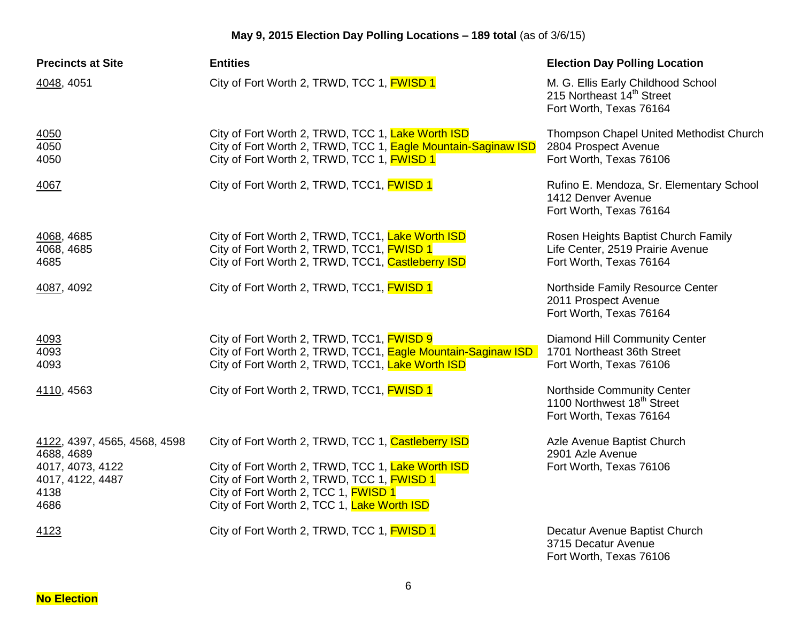| <b>Precincts at Site</b>                             | <b>Entities</b>                                                                                                                                                                                      | <b>Election Day Polling Location</b>                                                                   |
|------------------------------------------------------|------------------------------------------------------------------------------------------------------------------------------------------------------------------------------------------------------|--------------------------------------------------------------------------------------------------------|
| 4048, 4051                                           | City of Fort Worth 2, TRWD, TCC 1, FWISD 1                                                                                                                                                           | M. G. Ellis Early Childhood School<br>215 Northeast 14 <sup>th</sup> Street<br>Fort Worth, Texas 76164 |
| 4050<br>4050<br>4050                                 | City of Fort Worth 2, TRWD, TCC 1, Lake Worth ISD<br>City of Fort Worth 2, TRWD, TCC 1, Eagle Mountain-Saginaw ISD<br>City of Fort Worth 2, TRWD, TCC 1, FWISD 1                                     | Thompson Chapel United Methodist Church<br>2804 Prospect Avenue<br>Fort Worth, Texas 76106             |
| 4067                                                 | City of Fort Worth 2, TRWD, TCC1, FWISD 1                                                                                                                                                            | Rufino E. Mendoza, Sr. Elementary School<br>1412 Denver Avenue<br>Fort Worth, Texas 76164              |
| 4068, 4685<br>4068, 4685<br>4685                     | City of Fort Worth 2, TRWD, TCC1, Lake Worth ISD<br>City of Fort Worth 2, TRWD, TCC1, FWISD 1<br>City of Fort Worth 2, TRWD, TCC1, Castleberry ISD                                                   | Rosen Heights Baptist Church Family<br>Life Center, 2519 Prairie Avenue<br>Fort Worth, Texas 76164     |
| 4087, 4092                                           | City of Fort Worth 2, TRWD, TCC1, <b>FWISD 1</b>                                                                                                                                                     | Northside Family Resource Center<br>2011 Prospect Avenue<br>Fort Worth, Texas 76164                    |
| 4093<br>4093<br>4093                                 | City of Fort Worth 2, TRWD, TCC1, <b>FWISD 9</b><br>City of Fort Worth 2, TRWD, TCC1, Eagle Mountain-Saginaw ISD<br>City of Fort Worth 2, TRWD, TCC1, Lake Worth ISD                                 | Diamond Hill Community Center<br>1701 Northeast 36th Street<br>Fort Worth, Texas 76106                 |
| 4110, 4563                                           | City of Fort Worth 2, TRWD, TCC1, <b>FWISD 1</b>                                                                                                                                                     | Northside Community Center<br>1100 Northwest 18 <sup>th</sup> Street<br>Fort Worth, Texas 76164        |
| 4122, 4397, 4565, 4568, 4598<br>4688, 4689           | City of Fort Worth 2, TRWD, TCC 1, Castleberry ISD                                                                                                                                                   | Azle Avenue Baptist Church<br>2901 Azle Avenue                                                         |
| 4017, 4073, 4122<br>4017, 4122, 4487<br>4138<br>4686 | City of Fort Worth 2, TRWD, TCC 1, Lake Worth ISD<br>City of Fort Worth 2, TRWD, TCC 1, <b>FWISD 1</b><br>City of Fort Worth 2, TCC 1, <b>FWISD 1</b><br>City of Fort Worth 2, TCC 1, Lake Worth ISD | Fort Worth, Texas 76106                                                                                |
| 4123                                                 | City of Fort Worth 2, TRWD, TCC 1, FWISD 1                                                                                                                                                           | Decatur Avenue Baptist Church<br>3715 Decatur Avenue                                                   |

Fort Worth, Texas 76106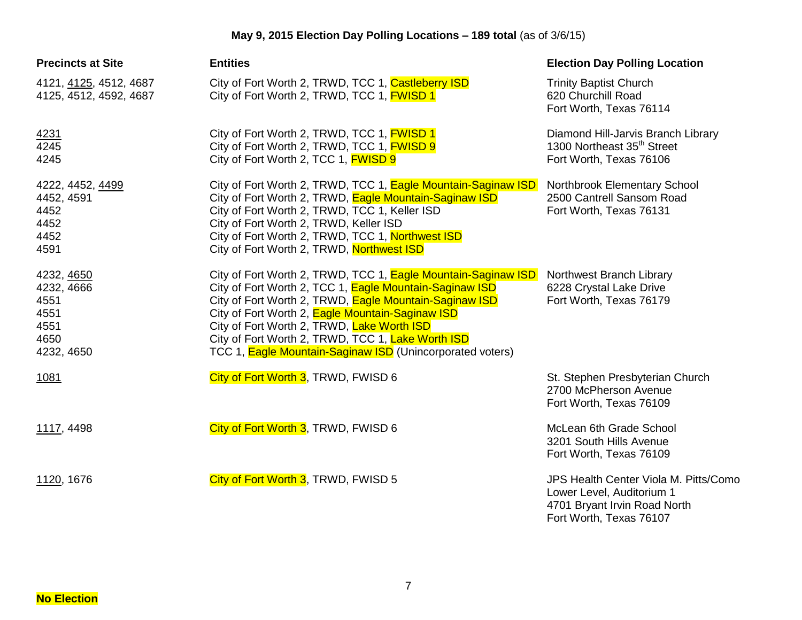| <b>Precincts at Site</b>                                               | <b>Entities</b>                                                                                                                                                                                                                                                                                                                                                                                        | <b>Election Day Polling Location</b>                                                                                          |
|------------------------------------------------------------------------|--------------------------------------------------------------------------------------------------------------------------------------------------------------------------------------------------------------------------------------------------------------------------------------------------------------------------------------------------------------------------------------------------------|-------------------------------------------------------------------------------------------------------------------------------|
| 4121, 4125, 4512, 4687<br>4125, 4512, 4592, 4687                       | City of Fort Worth 2, TRWD, TCC 1, Castleberry ISD<br>City of Fort Worth 2, TRWD, TCC 1, <b>FWISD 1</b>                                                                                                                                                                                                                                                                                                | <b>Trinity Baptist Church</b><br>620 Churchill Road<br>Fort Worth, Texas 76114                                                |
| 4231<br>4245<br>4245                                                   | City of Fort Worth 2, TRWD, TCC 1, FWISD 1<br>City of Fort Worth 2, TRWD, TCC 1, FWISD 9<br>City of Fort Worth 2, TCC 1, <b>FWISD 9</b>                                                                                                                                                                                                                                                                | Diamond Hill-Jarvis Branch Library<br>1300 Northeast 35 <sup>th</sup> Street<br>Fort Worth, Texas 76106                       |
| 4222, 4452, 4499<br>4452, 4591<br>4452<br>4452<br>4452<br>4591         | City of Fort Worth 2, TRWD, TCC 1, Eagle Mountain-Saginaw ISD<br>City of Fort Worth 2, TRWD, Eagle Mountain-Saginaw ISD<br>City of Fort Worth 2, TRWD, TCC 1, Keller ISD<br>City of Fort Worth 2, TRWD, Keller ISD<br>City of Fort Worth 2, TRWD, TCC 1, Northwest ISD<br>City of Fort Worth 2, TRWD, Northwest ISD                                                                                    | Northbrook Elementary School<br>2500 Cantrell Sansom Road<br>Fort Worth, Texas 76131                                          |
| 4232, 4650<br>4232, 4666<br>4551<br>4551<br>4551<br>4650<br>4232, 4650 | City of Fort Worth 2, TRWD, TCC 1, Eagle Mountain-Saginaw ISD<br>City of Fort Worth 2, TCC 1, Eagle Mountain-Saginaw ISD<br>City of Fort Worth 2, TRWD, Eagle Mountain-Saginaw ISD<br>City of Fort Worth 2, Eagle Mountain-Saginaw ISD<br>City of Fort Worth 2, TRWD, Lake Worth ISD<br>City of Fort Worth 2, TRWD, TCC 1, Lake Worth ISD<br>TCC 1, Eagle Mountain-Saginaw ISD (Unincorporated voters) | Northwest Branch Library<br>6228 Crystal Lake Drive<br>Fort Worth, Texas 76179                                                |
| 1081                                                                   | City of Fort Worth 3, TRWD, FWISD 6                                                                                                                                                                                                                                                                                                                                                                    | St. Stephen Presbyterian Church<br>2700 McPherson Avenue<br>Fort Worth, Texas 76109                                           |
| 1117, 4498                                                             | City of Fort Worth 3, TRWD, FWISD 6                                                                                                                                                                                                                                                                                                                                                                    | McLean 6th Grade School<br>3201 South Hills Avenue<br>Fort Worth, Texas 76109                                                 |
| 1120, 1676                                                             | City of Fort Worth 3, TRWD, FWISD 5                                                                                                                                                                                                                                                                                                                                                                    | JPS Health Center Viola M. Pitts/Como<br>Lower Level, Auditorium 1<br>4701 Bryant Irvin Road North<br>Fort Worth, Texas 76107 |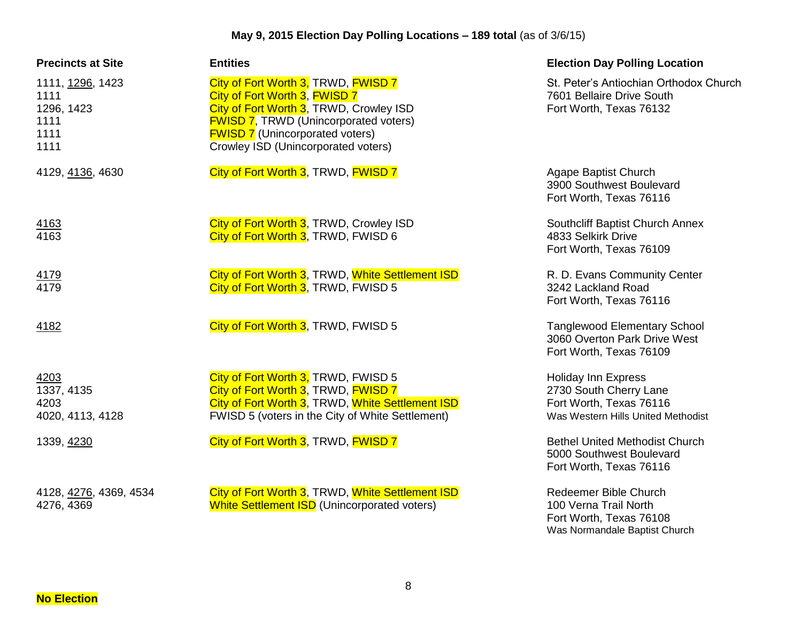| <b>Precincts at Site</b>                                       | <b>Entities</b>                                                                                                                                                                                                                                  | <b>Election Day Polling Location</b>                                                                                  |
|----------------------------------------------------------------|--------------------------------------------------------------------------------------------------------------------------------------------------------------------------------------------------------------------------------------------------|-----------------------------------------------------------------------------------------------------------------------|
| 1111, 1296, 1423<br>1111<br>1296, 1423<br>1111<br>1111<br>1111 | City of Fort Worth 3, TRWD, FWISD 7<br>City of Fort Worth 3, FWISD 7<br>City of Fort Worth 3, TRWD, Crowley ISD<br><b>FWISD 7, TRWD (Unincorporated voters)</b><br><b>FWISD 7</b> (Unincorporated voters)<br>Crowley ISD (Unincorporated voters) | St. Peter's Antiochian Orthodox Church<br>7601 Bellaire Drive South<br>Fort Worth, Texas 76132                        |
| 4129, 4136, 4630                                               | City of Fort Worth 3, TRWD, FWISD 7                                                                                                                                                                                                              | Agape Baptist Church<br>3900 Southwest Boulevard<br>Fort Worth, Texas 76116                                           |
| 4163<br>4163                                                   | City of Fort Worth 3, TRWD, Crowley ISD<br>City of Fort Worth 3, TRWD, FWISD 6                                                                                                                                                                   | Southcliff Baptist Church Annex<br>4833 Selkirk Drive<br>Fort Worth, Texas 76109                                      |
| $\frac{4179}{4179}$                                            | City of Fort Worth 3, TRWD, White Settlement ISD<br>City of Fort Worth 3, TRWD, FWISD 5                                                                                                                                                          | R. D. Evans Community Center<br>3242 Lackland Road<br>Fort Worth, Texas 76116                                         |
| 4182                                                           | City of Fort Worth 3, TRWD, FWISD 5                                                                                                                                                                                                              | <b>Tanglewood Elementary School</b><br>3060 Overton Park Drive West<br>Fort Worth, Texas 76109                        |
| 4203<br>1337, 4135<br>4203<br>4020, 4113, 4128                 | City of Fort Worth 3, TRWD, FWISD 5<br>City of Fort Worth 3, TRWD, FWISD 7<br>City of Fort Worth 3, TRWD, White Settlement ISD<br>FWISD 5 (voters in the City of White Settlement)                                                               | <b>Holiday Inn Express</b><br>2730 South Cherry Lane<br>Fort Worth, Texas 76116<br>Was Western Hills United Methodist |
| 1339, 4230                                                     | City of Fort Worth 3, TRWD, FWISD 7                                                                                                                                                                                                              | <b>Bethel United Methodist Church</b><br>5000 Southwest Boulevard<br>Fort Worth, Texas 76116                          |
| 4128, 4276, 4369, 4534<br>4276, 4369                           | City of Fort Worth 3, TRWD, White Settlement ISD<br><b>White Settlement ISD</b> (Unincorporated voters)                                                                                                                                          | Redeemer Bible Church<br>100 Verna Trail North<br>Fort Worth, Texas 76108<br>Was Normandale Baptist Church            |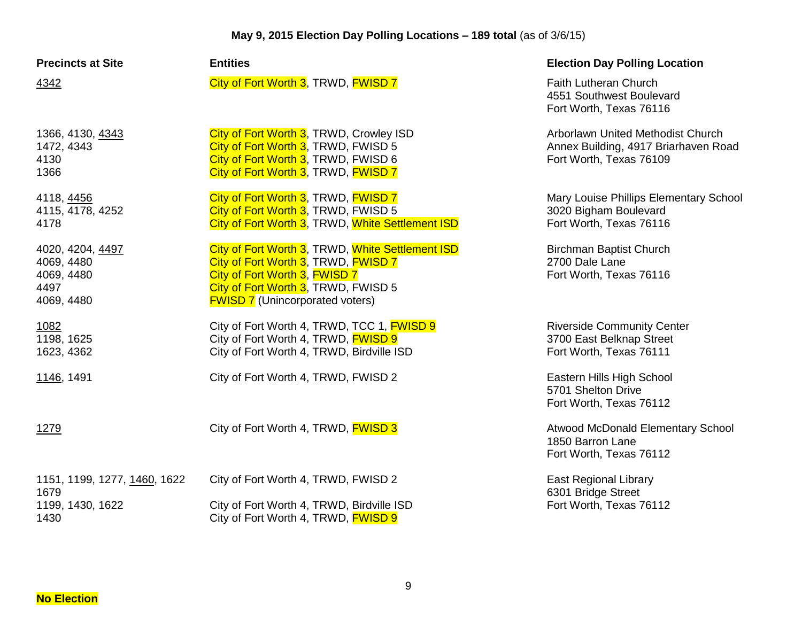| <b>Precincts at Site</b>                                           | <b>Entities</b>                                                                                                                                                                                           | <b>Election Day Polling Location</b>                                                                 |
|--------------------------------------------------------------------|-----------------------------------------------------------------------------------------------------------------------------------------------------------------------------------------------------------|------------------------------------------------------------------------------------------------------|
| 4342                                                               | City of Fort Worth 3, TRWD, FWISD 7                                                                                                                                                                       | Faith Lutheran Church<br>4551 Southwest Boulevard<br>Fort Worth, Texas 76116                         |
| 1366, 4130, 4343<br>1472, 4343<br>4130<br>1366                     | City of Fort Worth 3, TRWD, Crowley ISD<br>City of Fort Worth 3, TRWD, FWISD 5<br>City of Fort Worth 3, TRWD, FWISD 6<br>City of Fort Worth 3, TRWD, FWISD 7                                              | Arborlawn United Methodist Church<br>Annex Building, 4917 Briarhaven Road<br>Fort Worth, Texas 76109 |
| 4118, 4456<br>4115, 4178, 4252<br>4178                             | City of Fort Worth 3, TRWD, FWISD 7<br>City of Fort Worth 3, TRWD, FWISD 5<br>City of Fort Worth 3, TRWD, White Settlement ISD                                                                            | Mary Louise Phillips Elementary School<br>3020 Bigham Boulevard<br>Fort Worth, Texas 76116           |
| 4020, 4204, 4497<br>4069, 4480<br>4069, 4480<br>4497<br>4069, 4480 | City of Fort Worth 3, TRWD, White Settlement ISD<br>City of Fort Worth 3, TRWD, FWISD 7<br>City of Fort Worth 3, FWISD 7<br>City of Fort Worth 3, TRWD, FWISD 5<br><b>FWISD 7</b> (Unincorporated voters) | <b>Birchman Baptist Church</b><br>2700 Dale Lane<br>Fort Worth, Texas 76116                          |
| 1082<br>1198, 1625<br>1623, 4362                                   | City of Fort Worth 4, TRWD, TCC 1, FWISD 9<br>City of Fort Worth 4, TRWD, <b>FWISD 9</b><br>City of Fort Worth 4, TRWD, Birdville ISD                                                                     | <b>Riverside Community Center</b><br>3700 East Belknap Street<br>Fort Worth, Texas 76111             |
| 1146, 1491                                                         | City of Fort Worth 4, TRWD, FWISD 2                                                                                                                                                                       | Eastern Hills High School<br>5701 Shelton Drive<br>Fort Worth, Texas 76112                           |
| 1279                                                               | City of Fort Worth 4, TRWD, FWISD 3                                                                                                                                                                       | Atwood McDonald Elementary School<br>1850 Barron Lane<br>Fort Worth, Texas 76112                     |
| 1151, 1199, 1277, 1460, 1622<br>1679                               | City of Fort Worth 4, TRWD, FWISD 2                                                                                                                                                                       | <b>East Regional Library</b>                                                                         |
| 1199, 1430, 1622<br>1430                                           | City of Fort Worth 4, TRWD, Birdville ISD<br>City of Fort Worth 4, TRWD, <b>FWISD 9</b>                                                                                                                   | 6301 Bridge Street<br>Fort Worth, Texas 76112                                                        |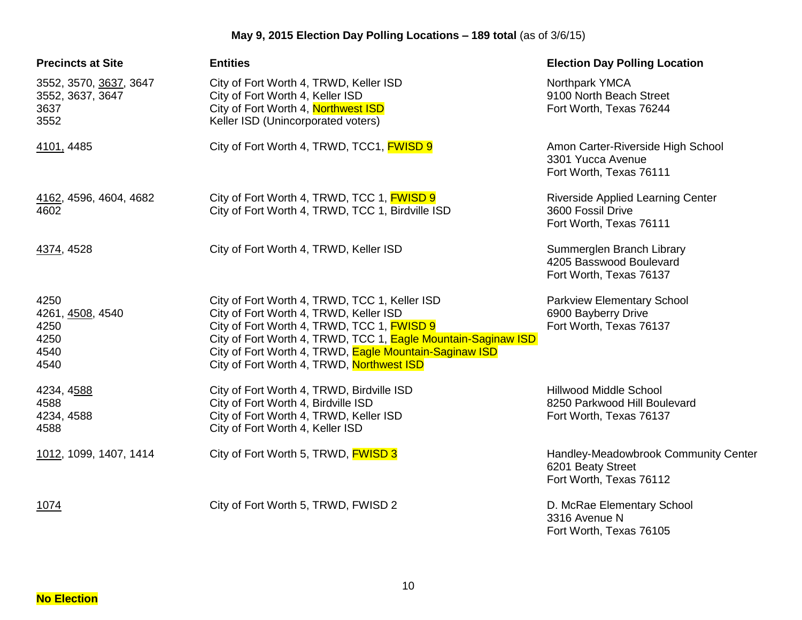| <b>Precincts at Site</b>                                   | <b>Entities</b>                                                                                                                                                                                                                                                                                               | <b>Election Day Polling Location</b>                                                     |
|------------------------------------------------------------|---------------------------------------------------------------------------------------------------------------------------------------------------------------------------------------------------------------------------------------------------------------------------------------------------------------|------------------------------------------------------------------------------------------|
| 3552, 3570, 3637, 3647<br>3552, 3637, 3647<br>3637<br>3552 | City of Fort Worth 4, TRWD, Keller ISD<br>City of Fort Worth 4, Keller ISD<br>City of Fort Worth 4, Northwest ISD<br>Keller ISD (Unincorporated voters)                                                                                                                                                       | Northpark YMCA<br>9100 North Beach Street<br>Fort Worth, Texas 76244                     |
| 4101, 4485                                                 | City of Fort Worth 4, TRWD, TCC1, <b>FWISD 9</b>                                                                                                                                                                                                                                                              | Amon Carter-Riverside High School<br>3301 Yucca Avenue<br>Fort Worth, Texas 76111        |
| 4162, 4596, 4604, 4682<br>4602                             | City of Fort Worth 4, TRWD, TCC 1, FWISD 9<br>City of Fort Worth 4, TRWD, TCC 1, Birdville ISD                                                                                                                                                                                                                | <b>Riverside Applied Learning Center</b><br>3600 Fossil Drive<br>Fort Worth, Texas 76111 |
| 4374, 4528                                                 | City of Fort Worth 4, TRWD, Keller ISD                                                                                                                                                                                                                                                                        | Summerglen Branch Library<br>4205 Basswood Boulevard<br>Fort Worth, Texas 76137          |
| 4250<br>4261, 4508, 4540<br>4250<br>4250<br>4540<br>4540   | City of Fort Worth 4, TRWD, TCC 1, Keller ISD<br>City of Fort Worth 4, TRWD, Keller ISD<br>City of Fort Worth 4, TRWD, TCC 1, FWISD 9<br>City of Fort Worth 4, TRWD, TCC 1, Eagle Mountain-Saginaw ISD<br>City of Fort Worth 4, TRWD, Eagle Mountain-Saginaw ISD<br>City of Fort Worth 4, TRWD, Northwest ISD | <b>Parkview Elementary School</b><br>6900 Bayberry Drive<br>Fort Worth, Texas 76137      |
| 4234, 4588<br>4588<br>4234, 4588<br>4588                   | City of Fort Worth 4, TRWD, Birdville ISD<br>City of Fort Worth 4, Birdville ISD<br>City of Fort Worth 4, TRWD, Keller ISD<br>City of Fort Worth 4, Keller ISD                                                                                                                                                | <b>Hillwood Middle School</b><br>8250 Parkwood Hill Boulevard<br>Fort Worth, Texas 76137 |
| 1012, 1099, 1407, 1414                                     | City of Fort Worth 5, TRWD, <b>FWISD 3</b>                                                                                                                                                                                                                                                                    | Handley-Meadowbrook Community Center<br>6201 Beaty Street<br>Fort Worth, Texas 76112     |
| 1074                                                       | City of Fort Worth 5, TRWD, FWISD 2                                                                                                                                                                                                                                                                           | D. McRae Elementary School<br>3316 Avenue N<br>Fort Worth, Texas 76105                   |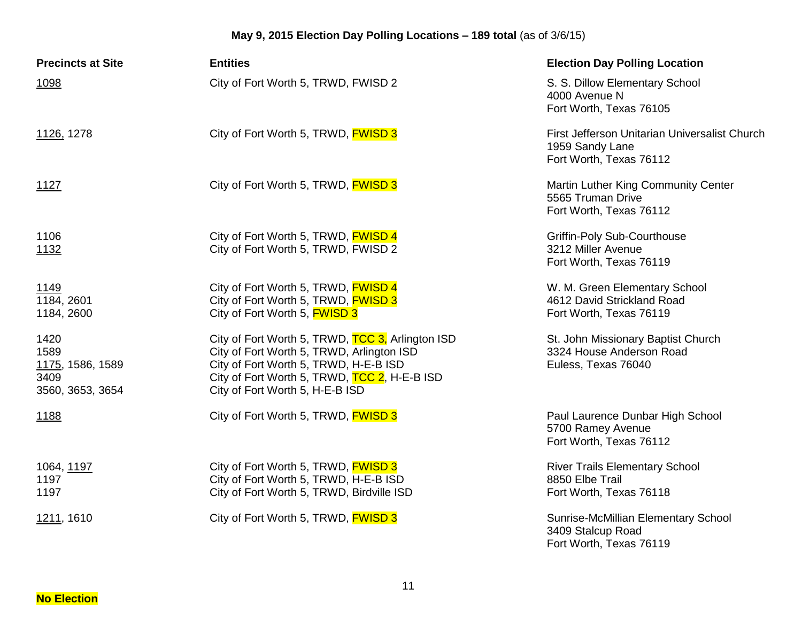| <b>Precincts at Site</b>                                     | <b>Entities</b>                                                                                                                                                                                                           | <b>Election Day Polling Location</b>                                                        |
|--------------------------------------------------------------|---------------------------------------------------------------------------------------------------------------------------------------------------------------------------------------------------------------------------|---------------------------------------------------------------------------------------------|
| 1098                                                         | City of Fort Worth 5, TRWD, FWISD 2                                                                                                                                                                                       | S. S. Dillow Elementary School<br>4000 Avenue N<br>Fort Worth, Texas 76105                  |
| 1126, 1278                                                   | City of Fort Worth 5, TRWD, <b>FWISD 3</b>                                                                                                                                                                                | First Jefferson Unitarian Universalist Church<br>1959 Sandy Lane<br>Fort Worth, Texas 76112 |
| 1127                                                         | City of Fort Worth 5, TRWD, <b>FWISD 3</b>                                                                                                                                                                                | Martin Luther King Community Center<br>5565 Truman Drive<br>Fort Worth, Texas 76112         |
| 1106<br>1132                                                 | City of Fort Worth 5, TRWD, FWISD 4<br>City of Fort Worth 5, TRWD, FWISD 2                                                                                                                                                | <b>Griffin-Poly Sub-Courthouse</b><br>3212 Miller Avenue<br>Fort Worth, Texas 76119         |
| 1149<br>1184, 2601<br>1184, 2600                             | City of Fort Worth 5, TRWD, FWISD 4<br>City of Fort Worth 5, TRWD, <b>FWISD 3</b><br>City of Fort Worth 5, <b>FWISD 3</b>                                                                                                 | W. M. Green Elementary School<br>4612 David Strickland Road<br>Fort Worth, Texas 76119      |
| 1420<br>1589<br>1175, 1586, 1589<br>3409<br>3560, 3653, 3654 | City of Fort Worth 5, TRWD, TCC 3, Arlington ISD<br>City of Fort Worth 5, TRWD, Arlington ISD<br>City of Fort Worth 5, TRWD, H-E-B ISD<br>City of Fort Worth 5, TRWD, TCC 2, H-E-B ISD<br>City of Fort Worth 5, H-E-B ISD | St. John Missionary Baptist Church<br>3324 House Anderson Road<br>Euless, Texas 76040       |
| 1188                                                         | City of Fort Worth 5, TRWD, <b>FWISD 3</b>                                                                                                                                                                                | Paul Laurence Dunbar High School<br>5700 Ramey Avenue<br>Fort Worth, Texas 76112            |
| 1064, 1197<br>1197<br>1197                                   | City of Fort Worth 5, TRWD, FWISD 3<br>City of Fort Worth 5, TRWD, H-E-B ISD<br>City of Fort Worth 5, TRWD, Birdville ISD                                                                                                 | <b>River Trails Elementary School</b><br>8850 Elbe Trail<br>Fort Worth, Texas 76118         |
| 1211, 1610                                                   | City of Fort Worth 5, TRWD, FWISD 3                                                                                                                                                                                       | Sunrise-McMillian Elementary School<br>3409 Stalcup Road<br>Fort Worth, Texas 76119         |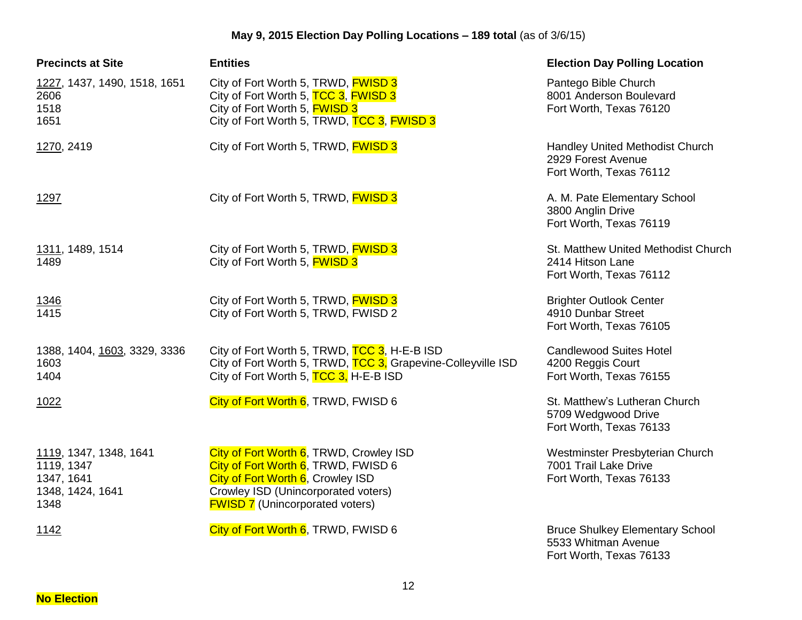| <b>Precincts at Site</b>                                                       | <b>Entities</b>                                                                                                                                                                                      | <b>Election Day Polling Location</b>                                                     |
|--------------------------------------------------------------------------------|------------------------------------------------------------------------------------------------------------------------------------------------------------------------------------------------------|------------------------------------------------------------------------------------------|
| 1227, 1437, 1490, 1518, 1651<br>2606<br>1518<br>1651                           | City of Fort Worth 5, TRWD, <b>FWISD 3</b><br>City of Fort Worth 5, TCC 3, FWISD 3<br>City of Fort Worth 5, <b>FWISD 3</b><br>City of Fort Worth 5, TRWD, TCC 3, FWISD 3                             | Pantego Bible Church<br>8001 Anderson Boulevard<br>Fort Worth, Texas 76120               |
| 1270, 2419                                                                     | City of Fort Worth 5, TRWD, <b>FWISD 3</b>                                                                                                                                                           | Handley United Methodist Church<br>2929 Forest Avenue<br>Fort Worth, Texas 76112         |
| 1297                                                                           | City of Fort Worth 5, TRWD, <b>FWISD 3</b>                                                                                                                                                           | A. M. Pate Elementary School<br>3800 Anglin Drive<br>Fort Worth, Texas 76119             |
| 1311, 1489, 1514<br>1489                                                       | City of Fort Worth 5, TRWD, FWISD 3<br>City of Fort Worth 5, <b>FWISD 3</b>                                                                                                                          | St. Matthew United Methodist Church<br>2414 Hitson Lane<br>Fort Worth, Texas 76112       |
| $\frac{1346}{1415}$                                                            | City of Fort Worth 5, TRWD, FWISD 3<br>City of Fort Worth 5, TRWD, FWISD 2                                                                                                                           | <b>Brighter Outlook Center</b><br>4910 Dunbar Street<br>Fort Worth, Texas 76105          |
| 1388, 1404, 1603, 3329, 3336<br>1603<br>1404                                   | City of Fort Worth 5, TRWD, TCC 3, H-E-B ISD<br>City of Fort Worth 5, TRWD, TCC 3, Grapevine-Colleyville ISD<br>City of Fort Worth 5, TCC 3, H-E-B ISD                                               | <b>Candlewood Suites Hotel</b><br>4200 Reggis Court<br>Fort Worth, Texas 76155           |
| 1022                                                                           | City of Fort Worth 6, TRWD, FWISD 6                                                                                                                                                                  | St. Matthew's Lutheran Church<br>5709 Wedgwood Drive<br>Fort Worth, Texas 76133          |
| 1119, 1347, 1348, 1641<br>1119, 1347<br>1347, 1641<br>1348, 1424, 1641<br>1348 | City of Fort Worth 6, TRWD, Crowley ISD<br>City of Fort Worth 6, TRWD, FWISD 6<br>City of Fort Worth 6, Crowley ISD<br>Crowley ISD (Unincorporated voters)<br><b>FWISD 7</b> (Unincorporated voters) | Westminster Presbyterian Church<br>7001 Trail Lake Drive<br>Fort Worth, Texas 76133      |
| <u>1142</u>                                                                    | City of Fort Worth 6, TRWD, FWISD 6                                                                                                                                                                  | <b>Bruce Shulkey Elementary School</b><br>5533 Whitman Avenue<br>Fort Worth, Texas 76133 |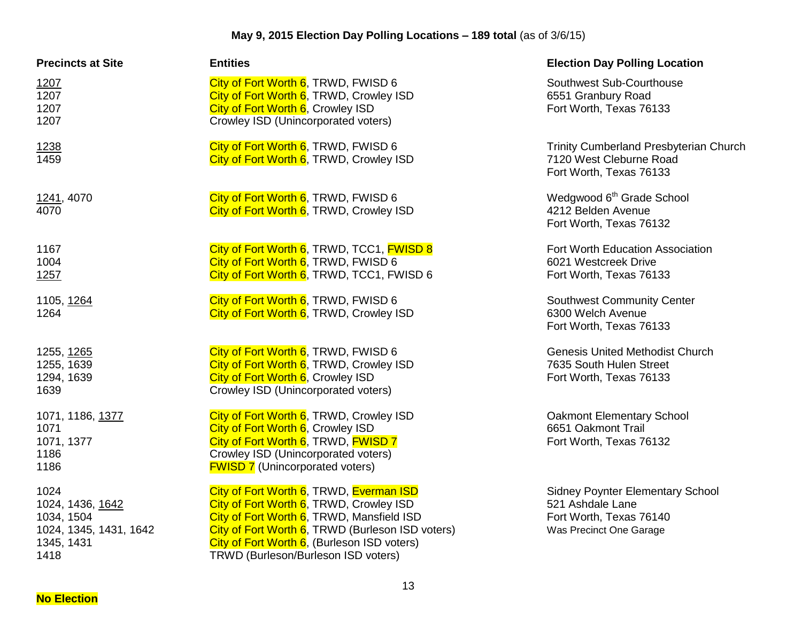| <b>Precincts at Site</b>                                                               | <b>Entities</b>                                                                                                                                                                                                                                                           | <b>Election Day Polling Location</b>                                                                              |
|----------------------------------------------------------------------------------------|---------------------------------------------------------------------------------------------------------------------------------------------------------------------------------------------------------------------------------------------------------------------------|-------------------------------------------------------------------------------------------------------------------|
| 1207<br>1207<br>1207<br>1207                                                           | City of Fort Worth 6, TRWD, FWISD 6<br>City of Fort Worth 6, TRWD, Crowley ISD<br>City of Fort Worth 6, Crowley ISD<br>Crowley ISD (Unincorporated voters)                                                                                                                | Southwest Sub-Courthouse<br>6551 Granbury Road<br>Fort Worth, Texas 76133                                         |
| 1238<br>1459                                                                           | City of Fort Worth 6, TRWD, FWISD 6<br>City of Fort Worth 6, TRWD, Crowley ISD                                                                                                                                                                                            | <b>Trinity Cumberland Presbyterian Church</b><br>7120 West Cleburne Road<br>Fort Worth, Texas 76133               |
| 1241, 4070<br>4070                                                                     | City of Fort Worth 6, TRWD, FWISD 6<br>City of Fort Worth 6, TRWD, Crowley ISD                                                                                                                                                                                            | Wedgwood 6 <sup>th</sup> Grade School<br>4212 Belden Avenue<br>Fort Worth, Texas 76132                            |
| 1167<br>1004<br>1257                                                                   | City of Fort Worth 6, TRWD, TCC1, FWISD 8<br>City of Fort Worth 6, TRWD, FWISD 6<br>City of Fort Worth 6, TRWD, TCC1, FWISD 6                                                                                                                                             | Fort Worth Education Association<br>6021 Westcreek Drive<br>Fort Worth, Texas 76133                               |
| 1105, 1264<br>1264                                                                     | City of Fort Worth 6, TRWD, FWISD 6<br>City of Fort Worth 6, TRWD, Crowley ISD                                                                                                                                                                                            | <b>Southwest Community Center</b><br>6300 Welch Avenue<br>Fort Worth, Texas 76133                                 |
| 1255, 1265<br>1255, 1639<br>1294, 1639<br>1639                                         | City of Fort Worth 6, TRWD, FWISD 6<br>City of Fort Worth 6, TRWD, Crowley ISD<br>City of Fort Worth 6, Crowley ISD<br>Crowley ISD (Unincorporated voters)                                                                                                                | <b>Genesis United Methodist Church</b><br>7635 South Hulen Street<br>Fort Worth, Texas 76133                      |
| 1071, 1186, 1377<br>1071<br>1071, 1377<br>1186<br>1186                                 | City of Fort Worth 6, TRWD, Crowley ISD<br>City of Fort Worth 6, Crowley ISD<br>City of Fort Worth 6, TRWD, FWISD 7<br>Crowley ISD (Unincorporated voters)<br><b>FWISD 7</b> (Unincorporated voters)                                                                      | <b>Oakmont Elementary School</b><br>6651 Oakmont Trail<br>Fort Worth, Texas 76132                                 |
| 1024<br>1024, 1436, 1642<br>1034, 1504<br>1024, 1345, 1431, 1642<br>1345, 1431<br>1418 | City of Fort Worth 6, TRWD, Everman ISD<br>City of Fort Worth 6, TRWD, Crowley ISD<br>City of Fort Worth 6, TRWD, Mansfield ISD<br>City of Fort Worth 6, TRWD (Burleson ISD voters)<br>City of Fort Worth 6, (Burleson ISD voters)<br>TRWD (Burleson/Burleson ISD voters) | <b>Sidney Poynter Elementary School</b><br>521 Ashdale Lane<br>Fort Worth, Texas 76140<br>Was Precinct One Garage |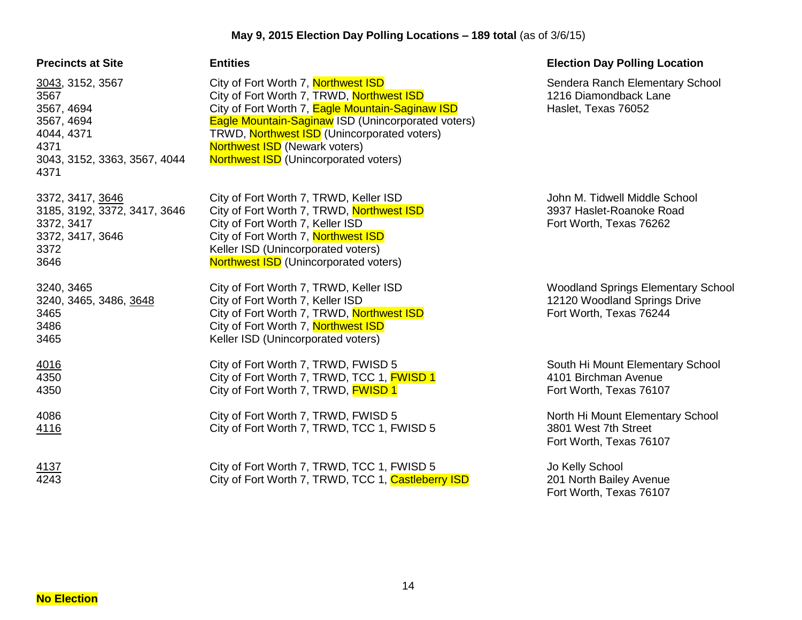| <b>Precincts at Site</b>                                                                                           | <b>Entities</b>                                                                                                                                                                                                                                                                                                                          | <b>Election Day Polling Location</b>                                                                 |
|--------------------------------------------------------------------------------------------------------------------|------------------------------------------------------------------------------------------------------------------------------------------------------------------------------------------------------------------------------------------------------------------------------------------------------------------------------------------|------------------------------------------------------------------------------------------------------|
| 3043, 3152, 3567<br>3567<br>3567, 4694<br>3567, 4694<br>4044, 4371<br>4371<br>3043, 3152, 3363, 3567, 4044<br>4371 | City of Fort Worth 7, Northwest ISD<br>City of Fort Worth 7, TRWD, Northwest ISD<br>City of Fort Worth 7, Eagle Mountain-Saginaw ISD<br><b>Eagle Mountain-Saginaw ISD (Unincorporated voters)</b><br>TRWD, Northwest ISD (Unincorporated voters)<br><b>Northwest ISD</b> (Newark voters)<br><b>Northwest ISD</b> (Unincorporated voters) | Sendera Ranch Elementary School<br>1216 Diamondback Lane<br>Haslet, Texas 76052                      |
| 3372, 3417, 3646<br>3185, 3192, 3372, 3417, 3646<br>3372, 3417<br>3372, 3417, 3646<br>3372<br>3646                 | City of Fort Worth 7, TRWD, Keller ISD<br>City of Fort Worth 7, TRWD, Northwest ISD<br>City of Fort Worth 7, Keller ISD<br>City of Fort Worth 7, Northwest ISD<br>Keller ISD (Unincorporated voters)<br><b>Northwest ISD</b> (Unincorporated voters)                                                                                     | John M. Tidwell Middle School<br>3937 Haslet-Roanoke Road<br>Fort Worth, Texas 76262                 |
| 3240, 3465<br>3240, 3465, 3486, 3648<br>3465<br>3486<br>3465                                                       | City of Fort Worth 7, TRWD, Keller ISD<br>City of Fort Worth 7, Keller ISD<br>City of Fort Worth 7, TRWD, Northwest ISD<br>City of Fort Worth 7, Northwest ISD<br>Keller ISD (Unincorporated voters)                                                                                                                                     | <b>Woodland Springs Elementary School</b><br>12120 Woodland Springs Drive<br>Fort Worth, Texas 76244 |
| 4016<br>4350<br>4350                                                                                               | City of Fort Worth 7, TRWD, FWISD 5<br>City of Fort Worth 7, TRWD, TCC 1, FWISD 1<br>City of Fort Worth 7, TRWD, FWISD 1                                                                                                                                                                                                                 | South Hi Mount Elementary School<br>4101 Birchman Avenue<br>Fort Worth, Texas 76107                  |
| 4086<br>4116                                                                                                       | City of Fort Worth 7, TRWD, FWISD 5<br>City of Fort Worth 7, TRWD, TCC 1, FWISD 5                                                                                                                                                                                                                                                        | North Hi Mount Elementary School<br>3801 West 7th Street<br>Fort Worth, Texas 76107                  |
| 4137<br>4243                                                                                                       | City of Fort Worth 7, TRWD, TCC 1, FWISD 5<br>City of Fort Worth 7, TRWD, TCC 1, Castleberry ISD                                                                                                                                                                                                                                         | Jo Kelly School<br>201 North Bailey Avenue<br>Fort Worth, Texas 76107                                |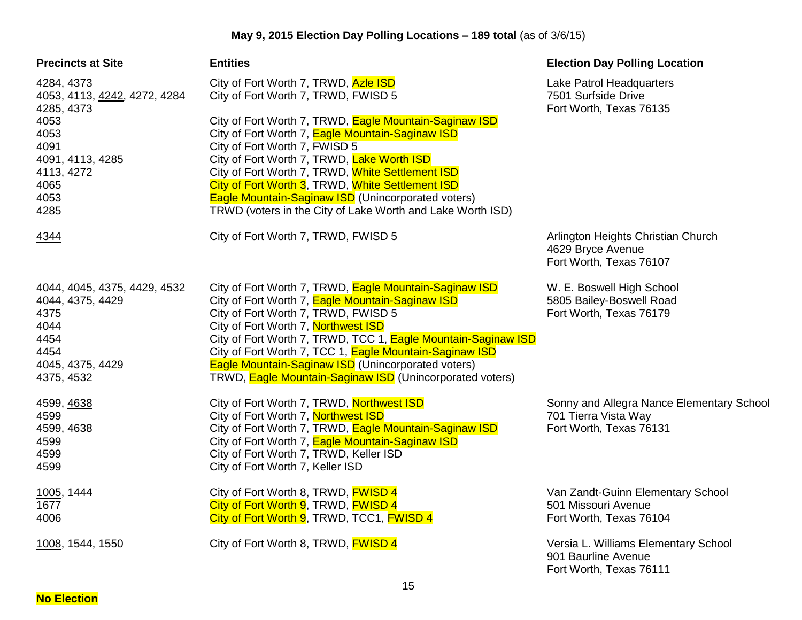| <b>Precincts at Site</b>                                                                                                                   | <b>Entities</b>                                                                                                                                                                                                                                                                                                                                                                                                                                                                                      | <b>Election Day Polling Location</b>                                                         |
|--------------------------------------------------------------------------------------------------------------------------------------------|------------------------------------------------------------------------------------------------------------------------------------------------------------------------------------------------------------------------------------------------------------------------------------------------------------------------------------------------------------------------------------------------------------------------------------------------------------------------------------------------------|----------------------------------------------------------------------------------------------|
| 4284, 4373<br>4053, 4113, 4242, 4272, 4284<br>4285, 4373<br>4053<br>4053<br>4091<br>4091, 4113, 4285<br>4113, 4272<br>4065<br>4053<br>4285 | City of Fort Worth 7, TRWD, Azle ISD<br>City of Fort Worth 7, TRWD, FWISD 5<br>City of Fort Worth 7, TRWD, Eagle Mountain-Saginaw ISD<br>City of Fort Worth 7, Eagle Mountain-Saginaw ISD<br>City of Fort Worth 7, FWISD 5<br>City of Fort Worth 7, TRWD, Lake Worth ISD<br>City of Fort Worth 7, TRWD, White Settlement ISD<br>City of Fort Worth 3, TRWD, White Settlement ISD<br>Eagle Mountain-Saginaw ISD (Unincorporated voters)<br>TRWD (voters in the City of Lake Worth and Lake Worth ISD) | Lake Patrol Headquarters<br>7501 Surfside Drive<br>Fort Worth, Texas 76135                   |
| 4344                                                                                                                                       | City of Fort Worth 7, TRWD, FWISD 5                                                                                                                                                                                                                                                                                                                                                                                                                                                                  | Arlington Heights Christian Church<br>4629 Bryce Avenue<br>Fort Worth, Texas 76107           |
| 4044, 4045, 4375, 4429, 4532<br>4044, 4375, 4429<br>4375<br>4044<br>4454<br>4454<br>4045, 4375, 4429<br>4375, 4532                         | City of Fort Worth 7, TRWD, Eagle Mountain-Saginaw ISD<br>City of Fort Worth 7, Eagle Mountain-Saginaw ISD<br>City of Fort Worth 7, TRWD, FWISD 5<br>City of Fort Worth 7, Northwest ISD<br>City of Fort Worth 7, TRWD, TCC 1, Eagle Mountain-Saginaw ISD<br>City of Fort Worth 7, TCC 1, Eagle Mountain-Saginaw ISD<br><b>Eagle Mountain-Saginaw ISD</b> (Unincorporated voters)<br>TRWD, Eagle Mountain-Saginaw ISD (Unincorporated voters)                                                        | W. E. Boswell High School<br>5805 Bailey-Boswell Road<br>Fort Worth, Texas 76179             |
| 4599, 4638<br>4599<br>4599, 4638<br>4599<br>4599<br>4599                                                                                   | City of Fort Worth 7, TRWD, Northwest ISD<br>City of Fort Worth 7, Northwest ISD<br>City of Fort Worth 7, TRWD, Eagle Mountain-Saginaw ISD<br>City of Fort Worth 7, Eagle Mountain-Saginaw ISD<br>City of Fort Worth 7, TRWD, Keller ISD<br>City of Fort Worth 7, Keller ISD                                                                                                                                                                                                                         | Sonny and Allegra Nance Elementary School<br>701 Tierra Vista Way<br>Fort Worth, Texas 76131 |
| 1005, 1444<br>1677<br>4006                                                                                                                 | City of Fort Worth 8, TRWD, FWISD 4<br>City of Fort Worth 9, TRWD, FWISD 4<br>City of Fort Worth 9, TRWD, TCC1, FWISD 4                                                                                                                                                                                                                                                                                                                                                                              | Van Zandt-Guinn Elementary School<br>501 Missouri Avenue<br>Fort Worth, Texas 76104          |
| 1008, 1544, 1550                                                                                                                           | City of Fort Worth 8, TRWD, FWISD 4                                                                                                                                                                                                                                                                                                                                                                                                                                                                  | Versia L. Williams Elementary School<br>901 Baurline Avenue                                  |

**No Election**

Fort Worth, Texas 76111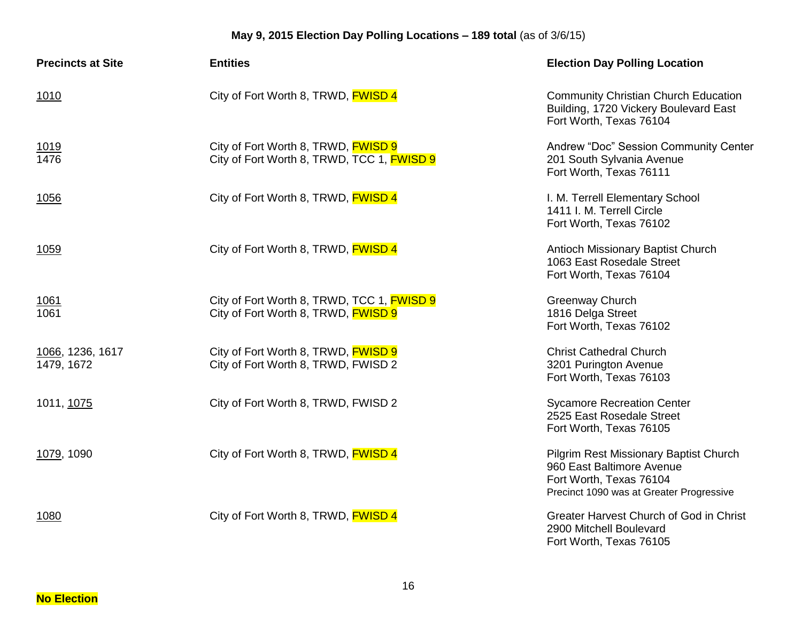| <b>Precincts at Site</b>       | <b>Entities</b>                                                                          | <b>Election Day Polling Location</b>                                                                                                              |
|--------------------------------|------------------------------------------------------------------------------------------|---------------------------------------------------------------------------------------------------------------------------------------------------|
| 1010                           | City of Fort Worth 8, TRWD, FWISD 4                                                      | <b>Community Christian Church Education</b><br>Building, 1720 Vickery Boulevard East<br>Fort Worth, Texas 76104                                   |
| <u>1019</u><br>1476            | City of Fort Worth 8, TRWD, <b>FWISD 9</b><br>City of Fort Worth 8, TRWD, TCC 1, FWISD 9 | Andrew "Doc" Session Community Center<br>201 South Sylvania Avenue<br>Fort Worth, Texas 76111                                                     |
| 1056                           | City of Fort Worth 8, TRWD, FWISD 4                                                      | I. M. Terrell Elementary School<br>1411 I. M. Terrell Circle<br>Fort Worth, Texas 76102                                                           |
| 1059                           | City of Fort Worth 8, TRWD, FWISD 4                                                      | Antioch Missionary Baptist Church<br>1063 East Rosedale Street<br>Fort Worth, Texas 76104                                                         |
| <u> 1061</u><br>1061           | City of Fort Worth 8, TRWD, TCC 1, FWISD 9<br>City of Fort Worth 8, TRWD, FWISD 9        | <b>Greenway Church</b><br>1816 Delga Street<br>Fort Worth, Texas 76102                                                                            |
| 1066, 1236, 1617<br>1479, 1672 | City of Fort Worth 8, TRWD, FWISD 9<br>City of Fort Worth 8, TRWD, FWISD 2               | <b>Christ Cathedral Church</b><br>3201 Purington Avenue<br>Fort Worth, Texas 76103                                                                |
| 1011, 1075                     | City of Fort Worth 8, TRWD, FWISD 2                                                      | <b>Sycamore Recreation Center</b><br>2525 East Rosedale Street<br>Fort Worth, Texas 76105                                                         |
| 1079, 1090                     | City of Fort Worth 8, TRWD, FWISD 4                                                      | <b>Pilgrim Rest Missionary Baptist Church</b><br>960 East Baltimore Avenue<br>Fort Worth, Texas 76104<br>Precinct 1090 was at Greater Progressive |
| 1080                           | City of Fort Worth 8, TRWD, <b>FWISD 4</b>                                               | Greater Harvest Church of God in Christ<br>2900 Mitchell Boulevard<br>Fort Worth, Texas 76105                                                     |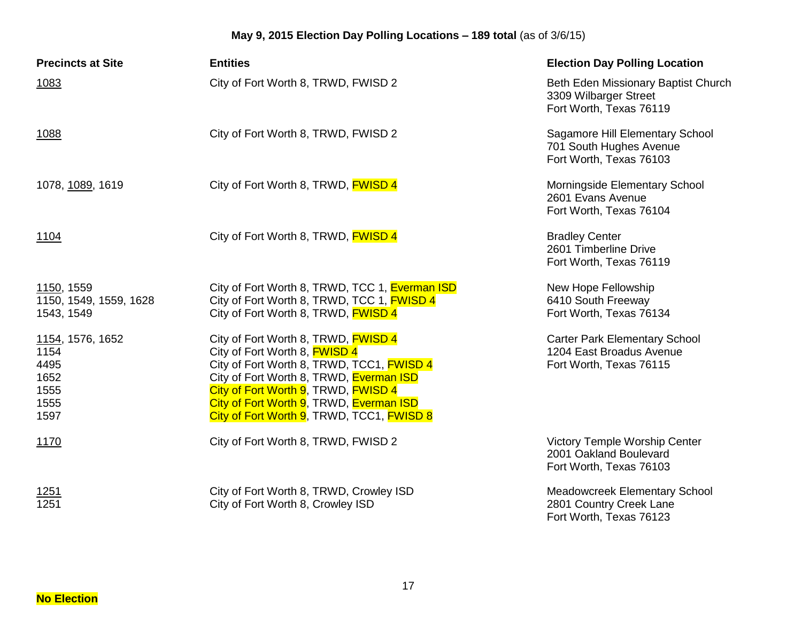| <b>Precincts at Site</b>                                         | <b>Entities</b>                                                                                                                                                                                                                                                                                    | <b>Election Day Polling Location</b>                                                        |
|------------------------------------------------------------------|----------------------------------------------------------------------------------------------------------------------------------------------------------------------------------------------------------------------------------------------------------------------------------------------------|---------------------------------------------------------------------------------------------|
| 1083                                                             | City of Fort Worth 8, TRWD, FWISD 2                                                                                                                                                                                                                                                                | Beth Eden Missionary Baptist Church<br>3309 Wilbarger Street<br>Fort Worth, Texas 76119     |
| 1088                                                             | City of Fort Worth 8, TRWD, FWISD 2                                                                                                                                                                                                                                                                | Sagamore Hill Elementary School<br>701 South Hughes Avenue<br>Fort Worth, Texas 76103       |
| 1078, 1089, 1619                                                 | City of Fort Worth 8, TRWD, <b>FWISD 4</b>                                                                                                                                                                                                                                                         | Morningside Elementary School<br>2601 Evans Avenue<br>Fort Worth, Texas 76104               |
| 1104                                                             | City of Fort Worth 8, TRWD, <b>FWISD 4</b>                                                                                                                                                                                                                                                         | <b>Bradley Center</b><br>2601 Timberline Drive<br>Fort Worth, Texas 76119                   |
| 1150, 1559<br>1150, 1549, 1559, 1628<br>1543, 1549               | City of Fort Worth 8, TRWD, TCC 1, Everman ISD<br>City of Fort Worth 8, TRWD, TCC 1, FWISD 4<br>City of Fort Worth 8, TRWD, <b>FWISD 4</b>                                                                                                                                                         | New Hope Fellowship<br>6410 South Freeway<br>Fort Worth, Texas 76134                        |
| 1154, 1576, 1652<br>1154<br>4495<br>1652<br>1555<br>1555<br>1597 | City of Fort Worth 8, TRWD, <b>FWISD 4</b><br>City of Fort Worth 8, FWISD 4<br>City of Fort Worth 8, TRWD, TCC1, FWISD 4<br>City of Fort Worth 8, TRWD, Everman ISD<br>City of Fort Worth 9, TRWD, FWISD 4<br>City of Fort Worth 9, TRWD, Everman ISD<br>City of Fort Worth 9, TRWD, TCC1, FWISD 8 | <b>Carter Park Elementary School</b><br>1204 East Broadus Avenue<br>Fort Worth, Texas 76115 |
| 1170                                                             | City of Fort Worth 8, TRWD, FWISD 2                                                                                                                                                                                                                                                                | <b>Victory Temple Worship Center</b><br>2001 Oakland Boulevard<br>Fort Worth, Texas 76103   |
| <u>1251</u><br>1251                                              | City of Fort Worth 8, TRWD, Crowley ISD<br>City of Fort Worth 8, Crowley ISD                                                                                                                                                                                                                       | Meadowcreek Elementary School<br>2801 Country Creek Lane<br>Fort Worth, Texas 76123         |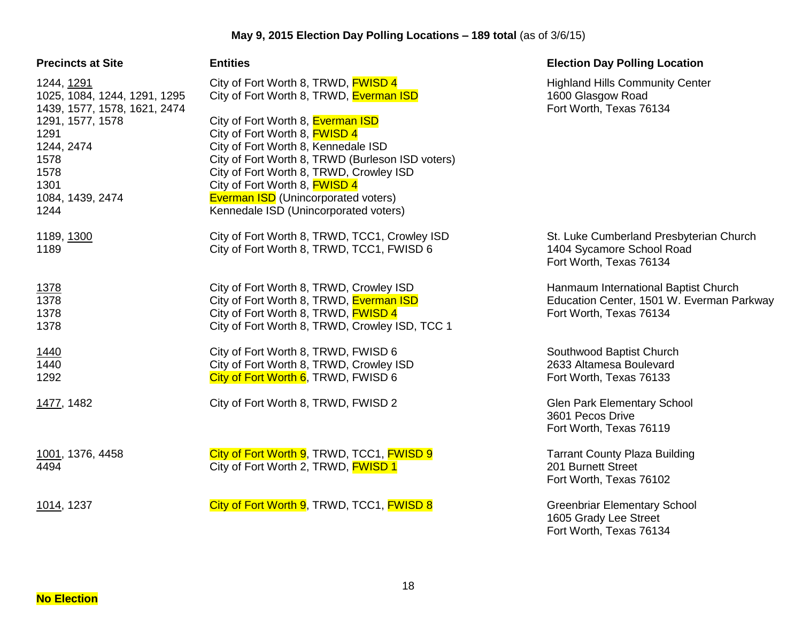| <b>Precincts at Site</b>                                                                       | <b>Entities</b>                                                                                                                                                             | <b>Election Day Polling Location</b>                                                                         |
|------------------------------------------------------------------------------------------------|-----------------------------------------------------------------------------------------------------------------------------------------------------------------------------|--------------------------------------------------------------------------------------------------------------|
| 1244, 1291<br>1025, 1084, 1244, 1291, 1295<br>1439, 1577, 1578, 1621, 2474<br>1291, 1577, 1578 | City of Fort Worth 8, TRWD, <b>FWISD 4</b><br>City of Fort Worth 8, TRWD, Everman ISD<br>City of Fort Worth 8, Everman ISD                                                  | <b>Highland Hills Community Center</b><br>1600 Glasgow Road<br>Fort Worth, Texas 76134                       |
| 1291<br>1244, 2474<br>1578<br>1578                                                             | City of Fort Worth 8, <b>FWISD 4</b><br>City of Fort Worth 8, Kennedale ISD<br>City of Fort Worth 8, TRWD (Burleson ISD voters)<br>City of Fort Worth 8, TRWD, Crowley ISD  |                                                                                                              |
| 1301<br>1084, 1439, 2474<br>1244                                                               | City of Fort Worth 8, <b>FWISD 4</b><br><b>Everman ISD</b> (Unincorporated voters)<br>Kennedale ISD (Unincorporated voters)                                                 |                                                                                                              |
| 1189, 1300<br>1189                                                                             | City of Fort Worth 8, TRWD, TCC1, Crowley ISD<br>City of Fort Worth 8, TRWD, TCC1, FWISD 6                                                                                  | St. Luke Cumberland Presbyterian Church<br>1404 Sycamore School Road<br>Fort Worth, Texas 76134              |
| 1378<br>1378<br>1378<br>1378                                                                   | City of Fort Worth 8, TRWD, Crowley ISD<br>City of Fort Worth 8, TRWD, Everman ISD<br>City of Fort Worth 8, TRWD, FWISD 4<br>City of Fort Worth 8, TRWD, Crowley ISD, TCC 1 | Hanmaum International Baptist Church<br>Education Center, 1501 W. Everman Parkway<br>Fort Worth, Texas 76134 |
| 1440<br>1440<br>1292                                                                           | City of Fort Worth 8, TRWD, FWISD 6<br>City of Fort Worth 8, TRWD, Crowley ISD<br>City of Fort Worth 6, TRWD, FWISD 6                                                       | Southwood Baptist Church<br>2633 Altamesa Boulevard<br>Fort Worth, Texas 76133                               |
| 1477, 1482                                                                                     | City of Fort Worth 8, TRWD, FWISD 2                                                                                                                                         | <b>Glen Park Elementary School</b><br>3601 Pecos Drive<br>Fort Worth, Texas 76119                            |
| 1001, 1376, 4458<br>4494                                                                       | City of Fort Worth 9, TRWD, TCC1, FWISD 9<br>City of Fort Worth 2, TRWD, FWISD 1                                                                                            | <b>Tarrant County Plaza Building</b><br>201 Burnett Street<br>Fort Worth, Texas 76102                        |
| 1014, 1237                                                                                     | City of Fort Worth 9, TRWD, TCC1, FWISD 8                                                                                                                                   | <b>Greenbriar Elementary School</b><br>1605 Grady Lee Street<br>Fort Worth, Texas 76134                      |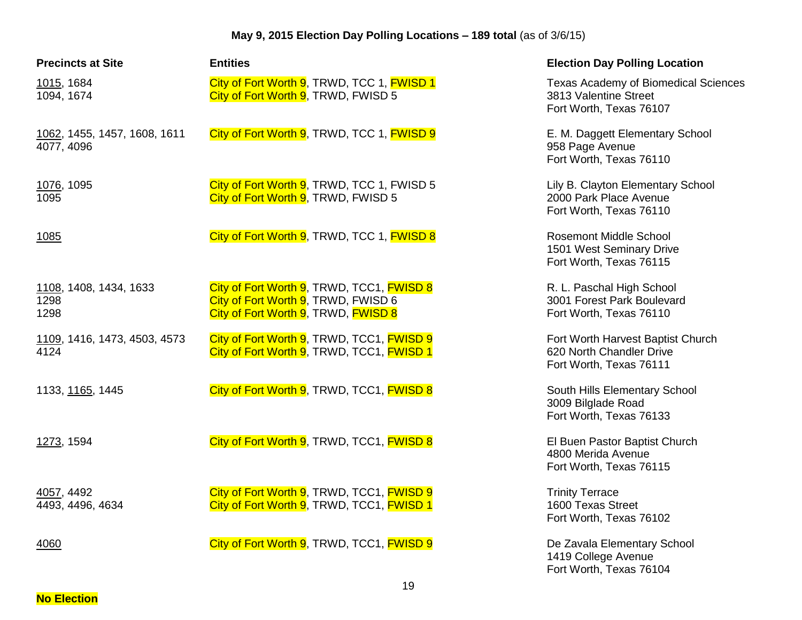| <b>Precincts at Site</b>                   | <b>Entities</b>                                                                                                         | <b>Election Day Polling Location</b>                                                            |
|--------------------------------------------|-------------------------------------------------------------------------------------------------------------------------|-------------------------------------------------------------------------------------------------|
| 1015, 1684<br>1094, 1674                   | City of Fort Worth 9, TRWD, TCC 1, FWISD 1<br>City of Fort Worth 9, TRWD, FWISD 5                                       | <b>Texas Academy of Biomedical Sciences</b><br>3813 Valentine Street<br>Fort Worth, Texas 76107 |
| 1062, 1455, 1457, 1608, 1611<br>4077, 4096 | City of Fort Worth 9, TRWD, TCC 1, FWISD 9                                                                              | E. M. Daggett Elementary School<br>958 Page Avenue<br>Fort Worth, Texas 76110                   |
| 1076, 1095<br>1095                         | City of Fort Worth 9, TRWD, TCC 1, FWISD 5<br>City of Fort Worth 9, TRWD, FWISD 5                                       | Lily B. Clayton Elementary School<br>2000 Park Place Avenue<br>Fort Worth, Texas 76110          |
| 1085                                       | City of Fort Worth 9, TRWD, TCC 1, FWISD 8                                                                              | <b>Rosemont Middle School</b><br>1501 West Seminary Drive<br>Fort Worth, Texas 76115            |
| 1108, 1408, 1434, 1633<br>1298<br>1298     | City of Fort Worth 9, TRWD, TCC1, FWISD 8<br>City of Fort Worth 9, TRWD, FWISD 6<br>City of Fort Worth 9, TRWD, FWISD 8 | R. L. Paschal High School<br>3001 Forest Park Boulevard<br>Fort Worth, Texas 76110              |
| 1109, 1416, 1473, 4503, 4573<br>4124       | City of Fort Worth 9, TRWD, TCC1, FWISD 9<br>City of Fort Worth 9, TRWD, TCC1, FWISD 1                                  | Fort Worth Harvest Baptist Church<br>620 North Chandler Drive<br>Fort Worth, Texas 76111        |
| 1133, 1165, 1445                           | City of Fort Worth 9, TRWD, TCC1, FWISD 8                                                                               | South Hills Elementary School<br>3009 Bilglade Road<br>Fort Worth, Texas 76133                  |
| 1273, 1594                                 | City of Fort Worth 9, TRWD, TCC1, FWISD 8                                                                               | El Buen Pastor Baptist Church<br>4800 Merida Avenue<br>Fort Worth, Texas 76115                  |
| 4057, 4492<br>4493, 4496, 4634             | City of Fort Worth 9, TRWD, TCC1, FWISD 9<br>City of Fort Worth 9, TRWD, TCC1, FWISD 1                                  | <b>Trinity Terrace</b><br>1600 Texas Street<br>Fort Worth, Texas 76102                          |
| 4060                                       | City of Fort Worth 9, TRWD, TCC1, FWISD 9                                                                               | De Zavala Elementary School<br>1419 College Avenue<br>Fort Worth, Texas 76104                   |

**No Election**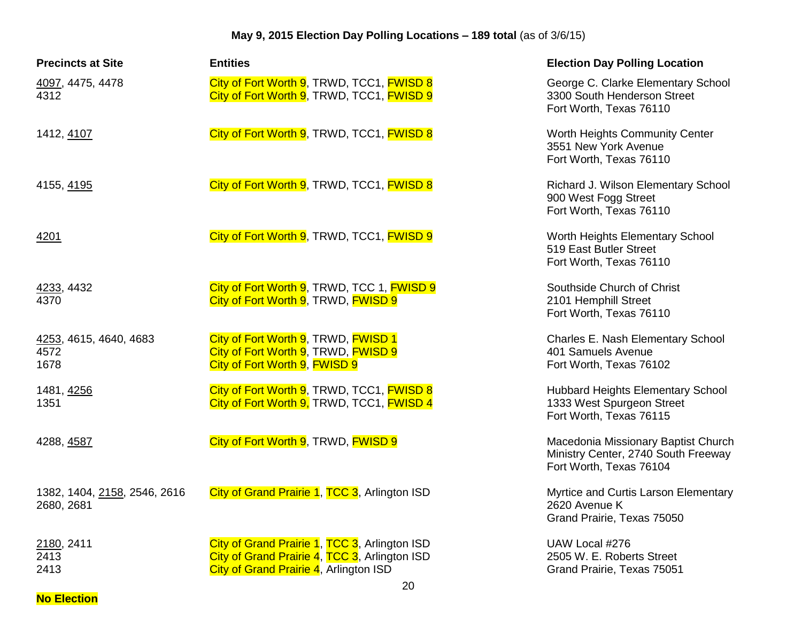| <b>Precincts at Site</b>                   | <b>Entities</b>                                                                                                                                    | <b>Election Day Polling Location</b>                                                                  |
|--------------------------------------------|----------------------------------------------------------------------------------------------------------------------------------------------------|-------------------------------------------------------------------------------------------------------|
| 4097, 4475, 4478<br>4312                   | City of Fort Worth 9, TRWD, TCC1, FWISD 8<br>City of Fort Worth 9, TRWD, TCC1, FWISD 9                                                             | George C. Clarke Elementary School<br>3300 South Henderson Street<br>Fort Worth, Texas 76110          |
| 1412, 4107                                 | City of Fort Worth 9, TRWD, TCC1, FWISD 8                                                                                                          | Worth Heights Community Center<br>3551 New York Avenue<br>Fort Worth, Texas 76110                     |
| 4155, 4195                                 | City of Fort Worth 9, TRWD, TCC1, FWISD 8                                                                                                          | Richard J. Wilson Elementary School<br>900 West Fogg Street<br>Fort Worth, Texas 76110                |
| 4201                                       | City of Fort Worth 9, TRWD, TCC1, FWISD 9                                                                                                          | Worth Heights Elementary School<br>519 East Butler Street<br>Fort Worth, Texas 76110                  |
| 4233, 4432<br>4370                         | City of Fort Worth 9, TRWD, TCC 1, FWISD 9<br>City of Fort Worth 9, TRWD, FWISD 9                                                                  | Southside Church of Christ<br>2101 Hemphill Street<br>Fort Worth, Texas 76110                         |
| 4253, 4615, 4640, 4683<br>4572<br>1678     | City of Fort Worth 9, TRWD, FWISD 1<br>City of Fort Worth 9, TRWD, FWISD 9<br>City of Fort Worth 9, FWISD 9                                        | Charles E. Nash Elementary School<br>401 Samuels Avenue<br>Fort Worth, Texas 76102                    |
| 1481, 4256<br>1351                         | City of Fort Worth 9, TRWD, TCC1, FWISD 8<br>City of Fort Worth 9, TRWD, TCC1, FWISD 4                                                             | <b>Hubbard Heights Elementary School</b><br>1333 West Spurgeon Street<br>Fort Worth, Texas 76115      |
| 4288, 4587                                 | City of Fort Worth 9, TRWD, FWISD 9                                                                                                                | Macedonia Missionary Baptist Church<br>Ministry Center, 2740 South Freeway<br>Fort Worth, Texas 76104 |
| 1382, 1404, 2158, 2546, 2616<br>2680, 2681 | City of Grand Prairie 1, TCC 3, Arlington ISD                                                                                                      | Myrtice and Curtis Larson Elementary<br>2620 Avenue K<br>Grand Prairie, Texas 75050                   |
| 2180, 2411<br>2413<br>2413                 | City of Grand Prairie 1, TCC 3, Arlington ISD<br>City of Grand Prairie 4, TCC 3, Arlington ISD<br>City of Grand Prairie 4, Arlington ISD<br>$\sim$ | UAW Local #276<br>2505 W. E. Roberts Street<br>Grand Prairie, Texas 75051                             |

**No Election**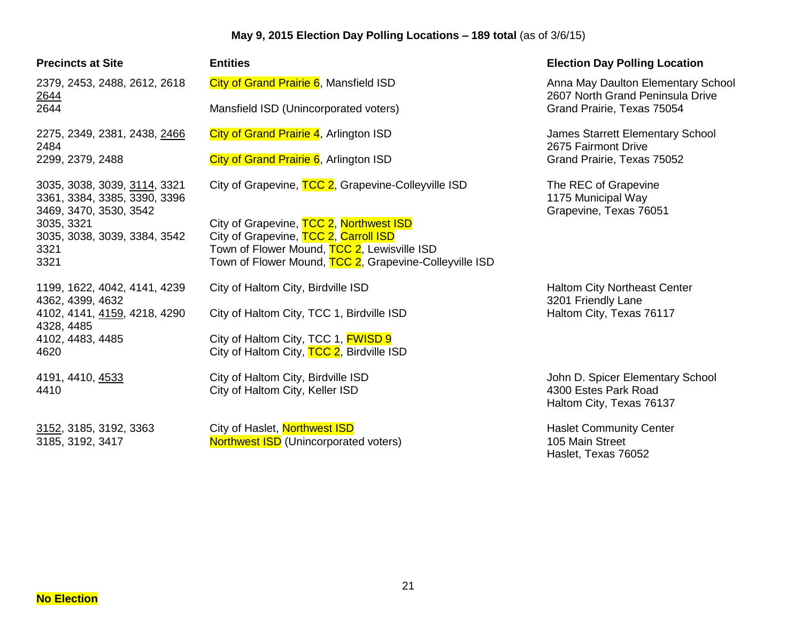| <b>Precincts at Site</b>                                                               | <b>Entities</b>                                                                  | <b>Election Day Polling Location</b>                                                 |
|----------------------------------------------------------------------------------------|----------------------------------------------------------------------------------|--------------------------------------------------------------------------------------|
| 2379, 2453, 2488, 2612, 2618<br>2644                                                   | City of Grand Prairie 6, Mansfield ISD                                           | Anna May Daulton Elementary School<br>2607 North Grand Peninsula Drive               |
| 2644                                                                                   | Mansfield ISD (Unincorporated voters)                                            | Grand Prairie, Texas 75054                                                           |
| 2275, 2349, 2381, 2438, 2466<br>2484                                                   | City of Grand Prairie 4, Arlington ISD                                           | James Starrett Elementary School<br>2675 Fairmont Drive                              |
| 2299, 2379, 2488                                                                       | City of Grand Prairie 6, Arlington ISD                                           | Grand Prairie, Texas 75052                                                           |
| 3035, 3038, 3039, 3114, 3321<br>3361, 3384, 3385, 3390, 3396<br>3469, 3470, 3530, 3542 | City of Grapevine, TCC 2, Grapevine-Colleyville ISD                              | The REC of Grapevine<br>1175 Municipal Way<br>Grapevine, Texas 76051                 |
| 3035, 3321<br>3035, 3038, 3039, 3384, 3542                                             | City of Grapevine, TCC 2, Northwest ISD<br>City of Grapevine, TCC 2, Carroll ISD |                                                                                      |
| 3321                                                                                   | Town of Flower Mound, TCC 2, Lewisville ISD                                      |                                                                                      |
| 3321                                                                                   | Town of Flower Mound, TCC 2, Grapevine-Colleyville ISD                           |                                                                                      |
| 1199, 1622, 4042, 4141, 4239<br>4362, 4399, 4632                                       | City of Haltom City, Birdville ISD                                               | <b>Haltom City Northeast Center</b><br>3201 Friendly Lane                            |
| 4102, 4141, 4159, 4218, 4290<br>4328, 4485                                             | City of Haltom City, TCC 1, Birdville ISD                                        | Haltom City, Texas 76117                                                             |
| 4102, 4483, 4485                                                                       | City of Haltom City, TCC 1, <b>FWISD 9</b>                                       |                                                                                      |
| 4620                                                                                   | City of Haltom City, TCC 2, Birdville ISD                                        |                                                                                      |
| 4191, 4410, 4533<br>4410                                                               | City of Haltom City, Birdville ISD<br>City of Haltom City, Keller ISD            | John D. Spicer Elementary School<br>4300 Estes Park Road<br>Haltom City, Texas 76137 |
| 3152, 3185, 3192, 3363<br>3185, 3192, 3417                                             | City of Haslet, Northwest ISD<br><b>Northwest ISD</b> (Unincorporated voters)    | <b>Haslet Community Center</b><br>105 Main Street<br>Haslet, Texas 76052             |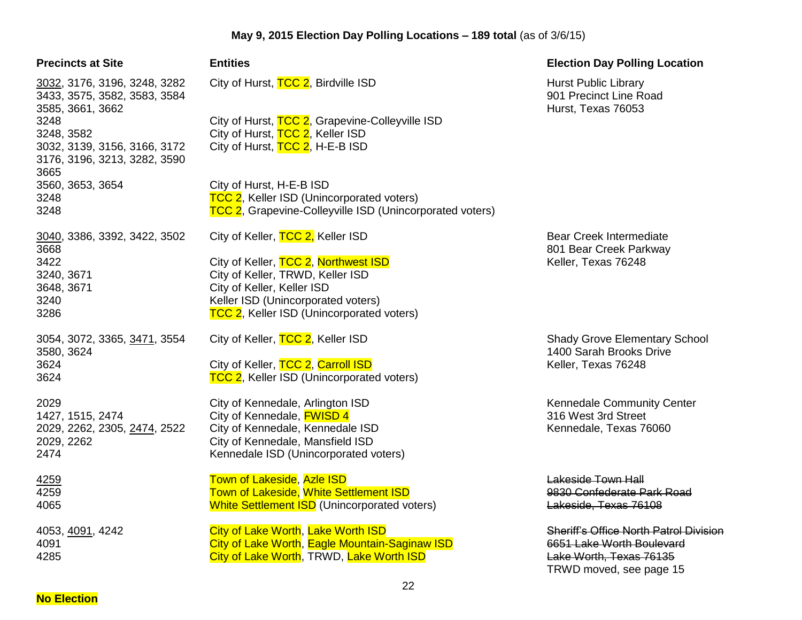| <b>Precincts at Site</b>                                                                   | <b>Entities</b>                                                                                                                                                                           |
|--------------------------------------------------------------------------------------------|-------------------------------------------------------------------------------------------------------------------------------------------------------------------------------------------|
| <u>3032</u> , 3176, 3196, 3248, 3282<br>3433, 3575, 3582, 3583, 3584<br>3585, 3661, 3662   | City of Hurst, TCC 2, Birdville ISD                                                                                                                                                       |
| 3248<br>3248, 3582<br>3032, 3139, 3156, 3166, 3172<br>3176, 3196, 3213, 3282, 3590<br>3665 | City of Hurst, TCC 2, Grapevine-Colleyville ISD<br>City of Hurst, TCC 2, Keller ISD<br>City of Hurst, TCC 2, H-E-B ISD                                                                    |
| 3560, 3653, 3654<br>3248<br>3248                                                           | City of Hurst, H-E-B ISD<br>TCC 2, Keller ISD (Unincorporated voters)<br>TCC 2, Grapevine-Colleyville ISD (Unincorpora                                                                    |
| 3040, 3386, 3392, 3422, 3502                                                               | City of Keller, TCC 2, Keller ISD                                                                                                                                                         |
| 3668<br>3422<br>3240, 3671<br>3648, 3671<br>3240<br>3286                                   | City of Keller, TCC 2, Northwest ISD<br>City of Keller, TRWD, Keller ISD<br>City of Keller, Keller ISD<br>Keller ISD (Unincorporated voters)<br>TCC 2, Keller ISD (Unincorporated voters) |
| 3054, 3072, 3365, <u>3471</u> , 3554<br>3580, 3624<br>3624<br>3624                         | City of Keller, TCC 2, Keller ISD<br>City of Keller, TCC 2, Carroll ISD<br>TCC 2, Keller ISD (Unincorporated voters)                                                                      |
| 2029<br>1427, 1515, 2474<br>2029, 2262, 2305, <u>2474,</u> 2522<br>2029, 2262<br>2474      | City of Kennedale, Arlington ISD<br>City of Kennedale, <b>FWISD 4</b><br>City of Kennedale, Kennedale ISD<br>City of Kennedale, Mansfield ISD<br>Kennedale ISD (Unincorporated voters)    |
| 4259<br>4259<br>4065                                                                       | Town of Lakeside, Azle ISD<br><b>Town of Lakeside, White Settlement ISD</b><br><b>White Settlement ISD</b> (Unincorporated voters)                                                        |
| 4053, <u>4091</u> , 4242<br>4091<br>4285                                                   | City of Lake Worth, Lake Worth ISD<br>City of Lake Worth, Eagle Mountain-Saginaw IS<br>City of Lake Worth, TRWD, Lake Worth ISD                                                           |

| <b>Entities</b>                                                                                       |
|-------------------------------------------------------------------------------------------------------|
| City of Hurst, TCC 2, Birdville ISD                                                                   |
| City of Hurst, TCC 2, Grapevine-Colleyville ISD                                                       |
| City of Hurst, TCC 2, Keller ISD                                                                      |
| City of Hurst, TCC 2, H-E-B ISD                                                                       |
| City of Hurst, H-E-B ISD                                                                              |
| TCC 2, Keller ISD (Unincorporated voters)<br>TCC 2, Grapevine-Colleyville ISD (Unincorporated voters) |
| City of Keller, TCC 2, Keller ISD                                                                     |
| City of Keller, TCC 2, Northwest ISD                                                                  |
| City of Keller, TRWD, Keller ISD                                                                      |
| City of Keller, Keller ISD<br>Keller ISD (Unincorporated voters)                                      |
| <b>TCC 2</b> , Keller ISD (Unincorporated voters)                                                     |
| City of Keller, TCC 2, Keller ISD                                                                     |
| City of Keller, TCC 2, Carroll ISD                                                                    |
| TCC 2, Keller ISD (Unincorporated voters)                                                             |
| City of Kennedale, Arlington ISD                                                                      |
| City of Kennedale, <b>FWISD 4</b>                                                                     |
| City of Kennedale, Kennedale ISD<br>City of Kennedale, Mansfield ISD                                  |
| Kennedale ISD (Unincorporated voters)                                                                 |
| <b>Town of Lakeside, Azle ISD</b>                                                                     |
| <b>Town of Lakeside, White Settlement ISD</b>                                                         |
| <b>White Settlement ISD</b> (Unincorporated voters)                                                   |
| City of Lake Worth, Lake Worth ISD                                                                    |
| City of Lake Worth, Eagle Mountain-Saginaw ISD                                                        |
| City of Lake Worth, TRWD, Lake Worth ISD                                                              |
|                                                                                                       |

### **Precise Bolling Location**

Hurst Public Library 901 Precinct Line Road Hurst, Texas 76053

Bear Creek Intermediate 801 Bear Creek Parkway Keller, Texas 76248

Shady Grove Elementary School 1400 Sarah Brooks Drive Keller, Texas 76248

Kennedale Community Center 316 West 3rd Street Kennedale, Texas 76060

**Lakeside Town Hall** 9830 Confederate Park Road Lakeside, Texas 76108

**Sheriff's Office North Patrol Division** 6651 Lake Worth Boulevard Lake Worth, Texas 76135 TRWD moved, see page 15

**No Election**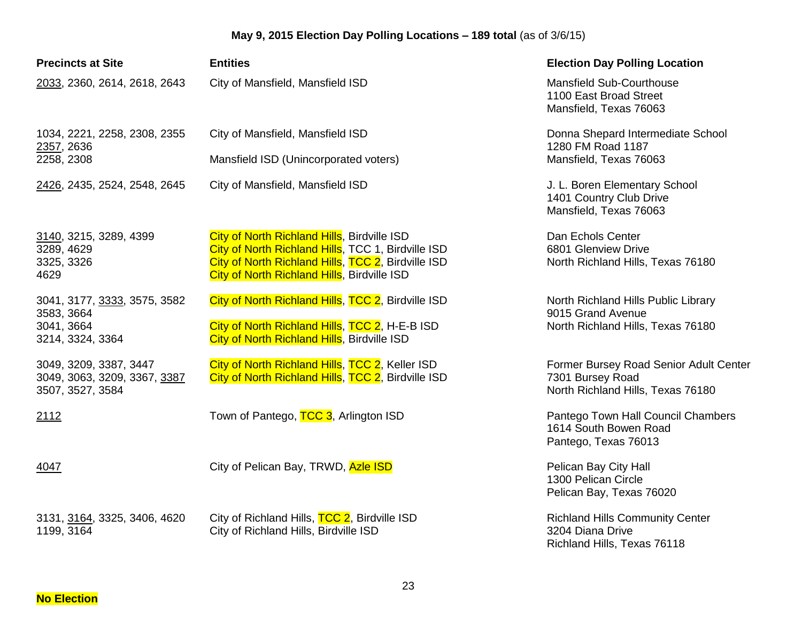| <b>Precincts at Site</b>                                                     | <b>Entities</b>                                                                                                                                                                                        | <b>Election Day Polling Location</b>                                                            |
|------------------------------------------------------------------------------|--------------------------------------------------------------------------------------------------------------------------------------------------------------------------------------------------------|-------------------------------------------------------------------------------------------------|
| 2033, 2360, 2614, 2618, 2643                                                 | City of Mansfield, Mansfield ISD                                                                                                                                                                       | <b>Mansfield Sub-Courthouse</b><br>1100 East Broad Street<br>Mansfield, Texas 76063             |
| 1034, 2221, 2258, 2308, 2355<br>2357, 2636                                   | City of Mansfield, Mansfield ISD                                                                                                                                                                       | Donna Shepard Intermediate School<br>1280 FM Road 1187                                          |
| 2258, 2308                                                                   | Mansfield ISD (Unincorporated voters)                                                                                                                                                                  | Mansfield, Texas 76063                                                                          |
| 2426, 2435, 2524, 2548, 2645                                                 | City of Mansfield, Mansfield ISD                                                                                                                                                                       | J. L. Boren Elementary School<br>1401 Country Club Drive<br>Mansfield, Texas 76063              |
| 3140, 3215, 3289, 4399<br>3289, 4629<br>3325, 3326<br>4629                   | City of North Richland Hills, Birdville ISD<br>City of North Richland Hills, TCC 1, Birdville ISD<br>City of North Richland Hills, TCC 2, Birdville ISD<br>City of North Richland Hills, Birdville ISD | Dan Echols Center<br>6801 Glenview Drive<br>North Richland Hills, Texas 76180                   |
| 3041, 3177, 3333, 3575, 3582<br>3583, 3664<br>3041, 3664<br>3214, 3324, 3364 | City of North Richland Hills, TCC 2, Birdville ISD<br>City of North Richland Hills, TCC 2, H-E-B ISD<br>City of North Richland Hills, Birdville ISD                                                    | North Richland Hills Public Library<br>9015 Grand Avenue<br>North Richland Hills, Texas 76180   |
| 3049, 3209, 3387, 3447<br>3049, 3063, 3209, 3367, 3387<br>3507, 3527, 3584   | City of North Richland Hills, TCC 2, Keller ISD<br>City of North Richland Hills, TCC 2, Birdville ISD                                                                                                  | Former Bursey Road Senior Adult Center<br>7301 Bursey Road<br>North Richland Hills, Texas 76180 |
| 2112                                                                         | Town of Pantego, TCC 3, Arlington ISD                                                                                                                                                                  | Pantego Town Hall Council Chambers<br>1614 South Bowen Road<br>Pantego, Texas 76013             |
| 4047                                                                         | City of Pelican Bay, TRWD, Azle ISD                                                                                                                                                                    | Pelican Bay City Hall<br>1300 Pelican Circle<br>Pelican Bay, Texas 76020                        |
| 3131, 3164, 3325, 3406, 4620<br>1199, 3164                                   | City of Richland Hills, TCC 2, Birdville ISD<br>City of Richland Hills, Birdville ISD                                                                                                                  | <b>Richland Hills Community Center</b><br>3204 Diana Drive<br>Richland Hills, Texas 76118       |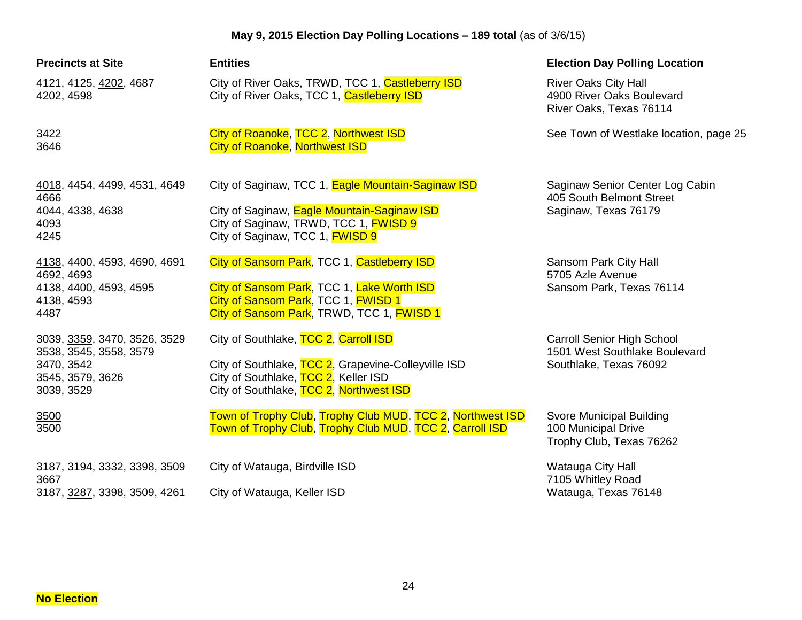| <b>Precincts at Site</b>                                                                               | <b>Entities</b>                                                                                                                                                                             | <b>Election Day Polling Location</b>                                                         |
|--------------------------------------------------------------------------------------------------------|---------------------------------------------------------------------------------------------------------------------------------------------------------------------------------------------|----------------------------------------------------------------------------------------------|
| 4121, 4125, 4202, 4687<br>4202, 4598                                                                   | City of River Oaks, TRWD, TCC 1, Castleberry ISD<br>City of River Oaks, TCC 1, Castleberry ISD                                                                                              | <b>River Oaks City Hall</b><br>4900 River Oaks Boulevard<br>River Oaks, Texas 76114          |
| 3422<br>3646                                                                                           | City of Roanoke, TCC 2, Northwest ISD<br><b>City of Roanoke, Northwest ISD</b>                                                                                                              | See Town of Westlake location, page 25                                                       |
| 4018, 4454, 4499, 4531, 4649<br>4666<br>4044, 4338, 4638<br>4093<br>4245                               | City of Saginaw, TCC 1, Eagle Mountain-Saginaw ISD<br>City of Saginaw, Eagle Mountain-Saginaw ISD<br>City of Saginaw, TRWD, TCC 1, <b>FWISD 9</b><br>City of Saginaw, TCC 1, <b>FWISD 9</b> | Saginaw Senior Center Log Cabin<br>405 South Belmont Street<br>Saginaw, Texas 76179          |
| 4138, 4400, 4593, 4690, 4691<br>4692, 4693<br>4138, 4400, 4593, 4595<br>4138, 4593<br>4487             | City of Sansom Park, TCC 1, Castleberry ISD<br>City of Sansom Park, TCC 1, Lake Worth ISD<br>City of Sansom Park, TCC 1, FWISD 1<br>City of Sansom Park, TRWD, TCC 1, FWISD 1               | Sansom Park City Hall<br>5705 Azle Avenue<br>Sansom Park, Texas 76114                        |
| 3039, 3359, 3470, 3526, 3529<br>3538, 3545, 3558, 3579<br>3470, 3542<br>3545, 3579, 3626<br>3039, 3529 | City of Southlake, TCC 2, Carroll ISD<br>City of Southlake, TCC 2, Grapevine-Colleyville ISD<br>City of Southlake, TCC 2, Keller ISD<br>City of Southlake, TCC 2, Northwest ISD             | <b>Carroll Senior High School</b><br>1501 West Southlake Boulevard<br>Southlake, Texas 76092 |
| 3500<br>3500                                                                                           | Town of Trophy Club, Trophy Club MUD, TCC 2, Northwest ISD<br>Town of Trophy Club, Trophy Club MUD, TCC 2, Carroll ISD                                                                      | Svore Municipal Building<br><b>100 Municipal Drive</b><br>Trophy Club, Texas 76262           |
| 3187, 3194, 3332, 3398, 3509<br>3667<br>3187, 3287, 3398, 3509, 4261                                   | City of Watauga, Birdville ISD<br>City of Watauga, Keller ISD                                                                                                                               | Watauga City Hall<br>7105 Whitley Road<br>Watauga, Texas 76148                               |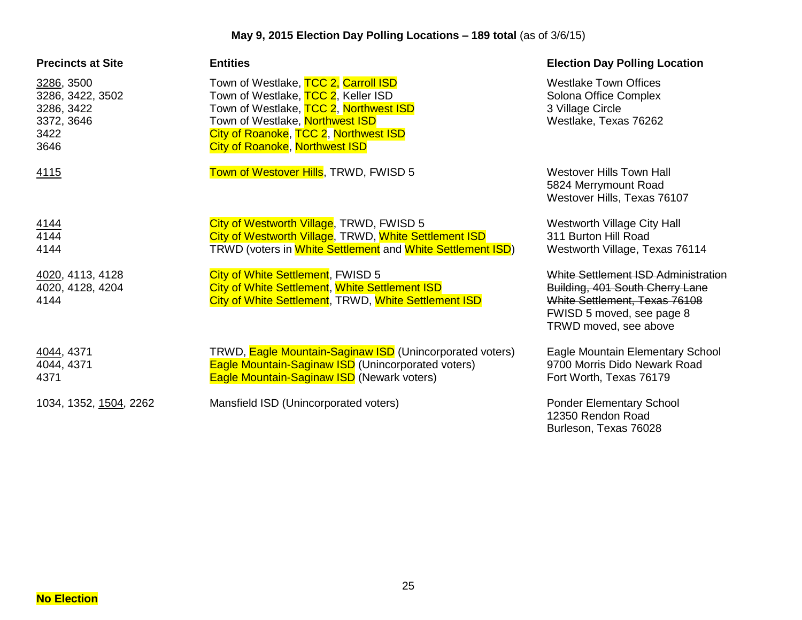| <b>Precincts at Site</b>                                                   | <b>Entities</b>                                                                                                                                                                                                                            | <b>Election Day Polling Location</b>                                                                                                                          |
|----------------------------------------------------------------------------|--------------------------------------------------------------------------------------------------------------------------------------------------------------------------------------------------------------------------------------------|---------------------------------------------------------------------------------------------------------------------------------------------------------------|
| 3286, 3500<br>3286, 3422, 3502<br>3286, 3422<br>3372, 3646<br>3422<br>3646 | Town of Westlake, TCC 2, Carroll ISD<br>Town of Westlake, TCC 2, Keller ISD<br>Town of Westlake, TCC 2, Northwest ISD<br>Town of Westlake, Northwest ISD<br>City of Roanoke, TCC 2, Northwest ISD<br><b>City of Roanoke, Northwest ISD</b> | <b>Westlake Town Offices</b><br>Solona Office Complex<br>3 Village Circle<br>Westlake, Texas 76262                                                            |
| 4115                                                                       | Town of Westover Hills, TRWD, FWISD 5                                                                                                                                                                                                      | <b>Westover Hills Town Hall</b><br>5824 Merrymount Road<br>Westover Hills, Texas 76107                                                                        |
| $\frac{4144}{4144}$<br>4144                                                | City of Westworth Village, TRWD, FWISD 5<br>City of Westworth Village, TRWD, White Settlement ISD<br>TRWD (voters in White Settlement and White Settlement ISD)                                                                            | Westworth Village City Hall<br>311 Burton Hill Road<br>Westworth Village, Texas 76114                                                                         |
| 4020, 4113, 4128<br>4020, 4128, 4204<br>4144                               | City of White Settlement, FWISD 5<br>City of White Settlement, White Settlement ISD<br>City of White Settlement, TRWD, White Settlement ISD                                                                                                | White Settlement ISD Administration<br>Building, 401 South Cherry Lane<br>White Settlement, Texas 76108<br>FWISD 5 moved, see page 8<br>TRWD moved, see above |
| 4044, 4371<br>4044, 4371<br>4371                                           | TRWD, Eagle Mountain-Saginaw ISD (Unincorporated voters)<br><b>Eagle Mountain-Saginaw ISD (Unincorporated voters)</b><br><b>Eagle Mountain-Saginaw ISD</b> (Newark voters)                                                                 | Eagle Mountain Elementary School<br>9700 Morris Dido Newark Road<br>Fort Worth, Texas 76179                                                                   |
| 1034, 1352, <u>1504,</u> 2262                                              | Mansfield ISD (Unincorporated voters)                                                                                                                                                                                                      | <b>Ponder Elementary School</b><br>12350 Rendon Road<br>Burleson, Texas 76028                                                                                 |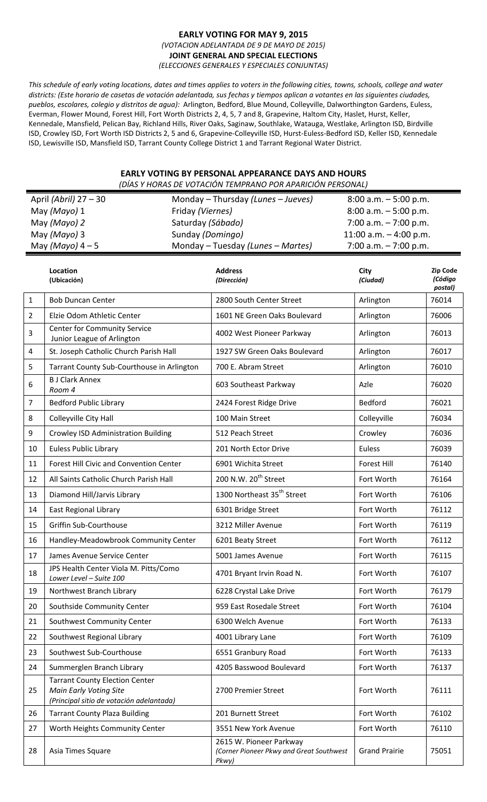#### **EARLY VOTING FOR MAY 9, 2015** *(VOTACION ADELANTADA DE 9 DE MAYO DE 2015)* **JOINT GENERAL AND SPECIAL ELECTIONS** *(ELECCIONES GENERALES Y ESPECIALES CONJUNTAS)*

This schedule of early voting locations, dates and times applies to voters in the following cities, towns, schools, college and water districts: (Este horario de casetas de votación adelantada, sus fechas y tiempos aplican a votantes en las siguientes ciudades, *pueblos, escolares, colegio y distritos de agua):* Arlington, Bedford, Blue Mound, Colleyville, Dalworthington Gardens, Euless, Everman, Flower Mound, Forest Hill, Fort Worth Districts 2, 4, 5, 7 and 8, Grapevine, Haltom City, Haslet, Hurst, Keller, Kennedale, Mansfield, Pelican Bay, Richland Hills, River Oaks, Saginaw, Southlake, Watauga, Westlake, Arlington ISD, Birdville ISD, Crowley ISD, Fort Worth ISD Districts 2, 5 and 6, Grapevine‐Colleyville ISD, Hurst‐Euless‐Bedford ISD, Keller ISD, Kennedale ISD, Lewisville ISD, Mansfield ISD, Tarrant County College District 1 and Tarrant Regional Water District.

# **EARLY VOTING BY PERSONAL APPEARANCE DAYS AND HOURS**

| (DÍAS Y HORAS DE VOTACIÓN TEMPRANO POR APARICIÓN PERSONAL) |                                                                                                                    |                   |                                                                              |                                                    |                                |  |
|------------------------------------------------------------|--------------------------------------------------------------------------------------------------------------------|-------------------|------------------------------------------------------------------------------|----------------------------------------------------|--------------------------------|--|
|                                                            | April (Abril) 27 - 30                                                                                              |                   | Monday - Thursday (Lunes - Jueves)                                           | $8:00$ a.m. $-5:00$ p.m.                           |                                |  |
|                                                            | May (Mayo) 1<br>Friday (Viernes)                                                                                   |                   |                                                                              |                                                    | $8:00$ a.m. $-5:00$ p.m.       |  |
|                                                            | May (Mayo) 2                                                                                                       | Saturday (Sábado) |                                                                              | 7:00 a.m. $-7:00$ p.m.                             |                                |  |
|                                                            | May (Mayo) 3<br>May $(Mayo)$ 4 - 5                                                                                 | Sunday (Domingo)  | Monday - Tuesday (Lunes - Martes)                                            | 11:00 a.m. $-$ 4:00 p.m.<br>7:00 a.m. $-7:00$ p.m. |                                |  |
|                                                            |                                                                                                                    |                   |                                                                              |                                                    |                                |  |
|                                                            | Location<br>(Ubicación)                                                                                            |                   | <b>Address</b><br>(Dirección)                                                | City<br>(Ciudad)                                   | Zip Code<br>(Código<br>postal) |  |
| $\mathbf{1}$                                               | <b>Bob Duncan Center</b>                                                                                           |                   | 2800 South Center Street                                                     | Arlington                                          | 76014                          |  |
| $\overline{2}$                                             | Elzie Odom Athletic Center                                                                                         |                   | 1601 NE Green Oaks Boulevard                                                 | Arlington                                          | 76006                          |  |
| $\mathbf{3}$                                               | <b>Center for Community Service</b><br>Junior League of Arlington                                                  |                   | 4002 West Pioneer Parkway                                                    | Arlington                                          | 76013                          |  |
| 4                                                          | St. Joseph Catholic Church Parish Hall                                                                             |                   | 1927 SW Green Oaks Boulevard                                                 | Arlington                                          | 76017                          |  |
| 5                                                          | Tarrant County Sub-Courthouse in Arlington                                                                         |                   | 700 E. Abram Street                                                          | Arlington                                          | 76010                          |  |
| $\boldsymbol{6}$                                           | <b>B J Clark Annex</b><br>Room 4                                                                                   |                   | 603 Southeast Parkway                                                        | Azle                                               | 76020                          |  |
| $\overline{7}$                                             | <b>Bedford Public Library</b>                                                                                      |                   | 2424 Forest Ridge Drive                                                      | Bedford                                            | 76021                          |  |
| 8                                                          | Colleyville City Hall                                                                                              |                   | 100 Main Street                                                              | Colleyville                                        | 76034                          |  |
| 9                                                          | <b>Crowley ISD Administration Building</b>                                                                         |                   | 512 Peach Street                                                             | Crowley                                            | 76036                          |  |
| 10                                                         | <b>Euless Public Library</b>                                                                                       |                   | 201 North Ector Drive                                                        | Euless                                             | 76039                          |  |
| 11                                                         | Forest Hill Civic and Convention Center                                                                            |                   | 6901 Wichita Street                                                          | <b>Forest Hill</b>                                 | 76140                          |  |
| 12                                                         | All Saints Catholic Church Parish Hall                                                                             |                   | 200 N.W. 20 <sup>th</sup> Street                                             | Fort Worth                                         | 76164                          |  |
| 13                                                         | Diamond Hill/Jarvis Library                                                                                        |                   | 1300 Northeast 35 <sup>th</sup> Street                                       | Fort Worth                                         | 76106                          |  |
| 14                                                         | <b>East Regional Library</b>                                                                                       |                   | 6301 Bridge Street                                                           | Fort Worth                                         | 76112                          |  |
| 15                                                         | Griffin Sub-Courthouse                                                                                             |                   | 3212 Miller Avenue                                                           | Fort Worth                                         | 76119                          |  |
| 16                                                         | Handley-Meadowbrook Community Center                                                                               |                   | 6201 Beaty Street                                                            | Fort Worth                                         | 76112                          |  |
| 17                                                         | James Avenue Service Center                                                                                        |                   | 5001 James Avenue                                                            | Fort Worth                                         | 76115                          |  |
| 18                                                         | JPS Health Center Viola M. Pitts/Como<br>Lower Level - Suite 100                                                   |                   | 4701 Bryant Irvin Road N.                                                    | Fort Worth                                         | 76107                          |  |
| 19                                                         | Northwest Branch Library                                                                                           |                   | 6228 Crystal Lake Drive                                                      | Fort Worth                                         | 76179                          |  |
| 20                                                         | Southside Community Center                                                                                         |                   | 959 East Rosedale Street                                                     | Fort Worth                                         | 76104                          |  |
| 21                                                         | Southwest Community Center                                                                                         |                   | 6300 Welch Avenue                                                            | Fort Worth                                         | 76133                          |  |
| 22                                                         | Southwest Regional Library                                                                                         |                   | 4001 Library Lane                                                            | Fort Worth                                         | 76109                          |  |
| 23                                                         | Southwest Sub-Courthouse                                                                                           |                   | 6551 Granbury Road                                                           | Fort Worth                                         | 76133                          |  |
| 24                                                         | Summerglen Branch Library                                                                                          |                   | 4205 Basswood Boulevard                                                      | Fort Worth                                         | 76137                          |  |
| 25                                                         | <b>Tarrant County Election Center</b><br><b>Main Early Voting Site</b><br>(Principal sitio de votación adelantada) |                   | 2700 Premier Street                                                          | Fort Worth                                         | 76111                          |  |
| 26                                                         | <b>Tarrant County Plaza Building</b>                                                                               |                   | 201 Burnett Street                                                           | Fort Worth                                         | 76102                          |  |
| 27                                                         | Worth Heights Community Center                                                                                     |                   | 3551 New York Avenue                                                         | Fort Worth                                         | 76110                          |  |
| 28                                                         | Asia Times Square                                                                                                  |                   | 2615 W. Pioneer Parkway<br>(Corner Pioneer Pkwy and Great Southwest<br>Pkwy) | <b>Grand Prairie</b>                               | 75051                          |  |